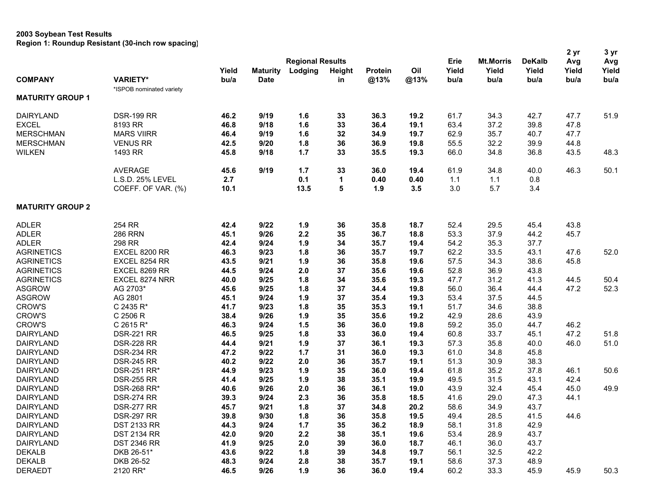|                         |                          |               |                                |                                    |              |                 |             |                       |                                               |                                | 2 yr                 | 3 yr                 |
|-------------------------|--------------------------|---------------|--------------------------------|------------------------------------|--------------|-----------------|-------------|-----------------------|-----------------------------------------------|--------------------------------|----------------------|----------------------|
| <b>COMPANY</b>          | <b>VARIETY*</b>          | Yield<br>bu/a | <b>Maturity</b><br><b>Date</b> | <b>Regional Results</b><br>Lodging | Height<br>in | Protein<br>@13% | Oil<br>@13% | Erie<br>Yield<br>bu/a | <b>Mt.Morris</b><br>Yield<br>b <sub>u/a</sub> | <b>DeKalb</b><br>Yield<br>bu/a | Avg<br>Yield<br>bu/a | Avg<br>Yield<br>bu/a |
| <b>MATURITY GROUP 1</b> | *ISPOB nominated variety |               |                                |                                    |              |                 |             |                       |                                               |                                |                      |                      |
| <b>DAIRYLAND</b>        | <b>DSR-199 RR</b>        | 46.2          | 9/19                           | 1.6                                | 33           | 36.3            | 19.2        | 61.7                  | 34.3                                          | 42.7                           | 47.7                 | 51.9                 |
| <b>EXCEL</b>            | 8193 RR                  | 46.8          | 9/18                           | 1.6                                | 33           | 36.4            | 19.1        | 63.4                  | 37.2                                          | 39.8                           | 47.8                 |                      |
| <b>MERSCHMAN</b>        | <b>MARS VIIRR</b>        | 46.4          | 9/19                           | 1.6                                | 32           | 34.9            | 19.7        | 62.9                  | 35.7                                          | 40.7                           | 47.7                 |                      |
| <b>MERSCHMAN</b>        | <b>VENUS RR</b>          | 42.5          | 9/20                           | 1.8                                | 36           | 36.9            | 19.8        | 55.5                  | 32.2                                          | 39.9                           | 44.8                 |                      |
| <b>WILKEN</b>           | 1493 RR                  | 45.8          | 9/18                           | 1.7                                | 33           | 35.5            | 19.3        | 66.0                  | 34.8                                          | 36.8                           | 43.5                 | 48.3                 |
|                         | <b>AVERAGE</b>           | 45.6          | 9/19                           | 1.7                                | 33           | 36.0            | 19.4        | 61.9                  | 34.8                                          | 40.0                           | 46.3                 | 50.1                 |
|                         | L.S.D. 25% LEVEL         | 2.7           |                                | 0.1                                | $\mathbf 1$  | 0.40            | 0.40        | 1.1                   | 1.1                                           | 0.8                            |                      |                      |
|                         | COEFF. OF VAR. (%)       | 10.1          |                                | 13.5                               | 5            | 1.9             | 3.5         | 3.0                   | 5.7                                           | 3.4                            |                      |                      |
| <b>MATURITY GROUP 2</b> |                          |               |                                |                                    |              |                 |             |                       |                                               |                                |                      |                      |
| <b>ADLER</b>            | 254 RR                   | 42.4          | 9/22                           | 1.9                                | 36           | 35.8            | 18.7        | 52.4                  | 29.5                                          | 45.4                           | 43.8                 |                      |
| <b>ADLER</b>            | <b>286 RRN</b>           | 45.1          | 9/26                           | 2.2                                | 35           | 36.7            | 18.8        | 53.3                  | 37.9                                          | 44.2                           | 45.7                 |                      |
| <b>ADLER</b>            | 298 RR                   | 42.4          | 9/24                           | 1.9                                | 34           | 35.7            | 19.4        | 54.2                  | 35.3                                          | 37.7                           |                      |                      |
| <b>AGRINETICS</b>       | EXCEL 8200 RR            | 46.3          | 9/23                           | 1.8                                | 36           | 35.7            | 19.7        | 62.2                  | 33.5                                          | 43.1                           | 47.6                 | 52.0                 |
| <b>AGRINETICS</b>       | EXCEL 8254 RR            | 43.5          | 9/21                           | 1.9                                | 36           | 35.8            | 19.6        | 57.5                  | 34.3                                          | 38.6                           | 45.8                 |                      |
| <b>AGRINETICS</b>       | EXCEL 8269 RR            | 44.5          | 9/24                           | 2.0                                | 37           | 35.6            | 19.6        | 52.8                  | 36.9                                          | 43.8                           |                      |                      |
| <b>AGRINETICS</b>       | EXCEL 8274 NRR           | 40.0          | 9/25                           | 1.8                                | 34           | 35.6            | 19.3        | 47.7                  | 31.2                                          | 41.3                           | 44.5                 | 50.4                 |
| <b>ASGROW</b>           | AG 2703*                 | 45.6          | 9/25                           | 1.8                                | 37           | 34.4            | 19.8        | 56.0                  | 36.4                                          | 44.4                           | 47.2                 | 52.3                 |
| <b>ASGROW</b>           | AG 2801                  | 45.1          | 9/24                           | 1.9                                | 37           | 35.4            | 19.3        | 53.4                  | 37.5                                          | 44.5                           |                      |                      |
| <b>CROW'S</b>           | C 2435 R*                | 41.7          | 9/23                           | 1.8                                | 35           | 35.3            | 19.1        | 51.7                  | 34.6                                          | 38.8                           |                      |                      |
| <b>CROW'S</b>           | C 2506 R                 | 38.4          | 9/26                           | 1.9                                | 35           | 35.6            | 19.2        | 42.9                  | 28.6                                          | 43.9                           |                      |                      |
| <b>CROW'S</b>           | C 2615 R*                | 46.3          | 9/24                           | 1.5                                | 36           | 36.0            | 19.8        | 59.2                  | 35.0                                          | 44.7                           | 46.2                 |                      |
| <b>DAIRYLAND</b>        | <b>DSR-221 RR</b>        | 46.5          | 9/25                           | 1.8                                | 33           | 36.0            | 19.4        | 60.8                  | 33.7                                          | 45.1                           | 47.2                 | 51.8                 |
| <b>DAIRYLAND</b>        | <b>DSR-228 RR</b>        | 44.4          | 9/21                           | 1.9                                | 37           | 36.1            | 19.3        | 57.3                  | 35.8                                          | 40.0                           | 46.0                 | 51.0                 |
| <b>DAIRYLAND</b>        | <b>DSR-234 RR</b>        | 47.2          | 9/22                           | 1.7                                | 31           | 36.0            | 19.3        | 61.0                  | 34.8                                          | 45.8                           |                      |                      |
| <b>DAIRYLAND</b>        | <b>DSR-245 RR</b>        | 40.2          | 9/22                           | 2.0                                | 36           | 35.7            | 19.1        | 51.3                  | 30.9                                          | 38.3                           |                      |                      |
| <b>DAIRYLAND</b>        | <b>DSR-251 RR*</b>       | 44.9          | 9/23                           | 1.9                                | 35           | 36.0            | 19.4        | 61.8                  | 35.2                                          | 37.8                           | 46.1                 | 50.6                 |
| <b>DAIRYLAND</b>        | <b>DSR-255 RR</b>        | 41.4          | 9/25                           | 1.9                                | 38           | 35.1            | 19.9        | 49.5                  | 31.5                                          | 43.1                           | 42.4                 |                      |
| <b>DAIRYLAND</b>        | <b>DSR-268 RR*</b>       | 40.6          | 9/26                           | 2.0                                | 36           | 36.1            | 19.0        | 43.9                  | 32.4                                          | 45.4                           | 45.0                 | 49.9                 |
| <b>DAIRYLAND</b>        | <b>DSR-274 RR</b>        | 39.3          | 9/24                           | 2.3                                | 36           | 35.8            | 18.5        | 41.6                  | 29.0                                          | 47.3                           | 44.1                 |                      |
| <b>DAIRYLAND</b>        | <b>DSR-277 RR</b>        | 45.7          | 9/21                           | 1.8                                | 37           | 34.8            | 20.2        | 58.6                  | 34.9                                          | 43.7                           |                      |                      |
| DAIRYLAND               | <b>DSR-297 RR</b>        | 39.8          | 9/30                           | 1.8                                | 36           | 35.8            | 19.5        | 49.4                  | 28.5                                          | 41.5                           | 44.6                 |                      |
| <b>DAIRYLAND</b>        | <b>DST 2133 RR</b>       | 44.3          | 9/24                           | 1.7                                | 35           | 36.2            | 18.9        | 58.1                  | 31.8                                          | 42.9                           |                      |                      |
| <b>DAIRYLAND</b>        | <b>DST 2134 RR</b>       | 42.0          | 9/20                           | 2.2                                | 38           | 35.1            | 19.6        | 53.4                  | 28.9                                          | 43.7                           |                      |                      |
| <b>DAIRYLAND</b>        | <b>DST 2346 RR</b>       | 41.9          | 9/25                           | 2.0                                | 39           | 36.0            | 18.7        | 46.1                  | 36.0                                          | 43.7                           |                      |                      |
| <b>DEKALB</b>           | DKB 26-51*               | 43.6          | 9/22                           | 1.8                                | 39           | 34.8            | 19.7        | 56.1                  | 32.5                                          | 42.2                           |                      |                      |
| <b>DEKALB</b>           | DKB 26-52                | 48.3          | 9/24                           | 2.8                                | 38           | 35.7            | 19.1        | 58.6                  | 37.3                                          | 48.9                           |                      |                      |
| <b>DERAEDT</b>          | 2120 RR*                 | 46.5          | 9/26                           | 1.9                                | 36           | 36.0            | 19.4        | 60.2                  | 33.3                                          | 45.9                           | 45.9                 | 50.3                 |
|                         |                          |               |                                |                                    |              |                 |             |                       |                                               |                                |                      |                      |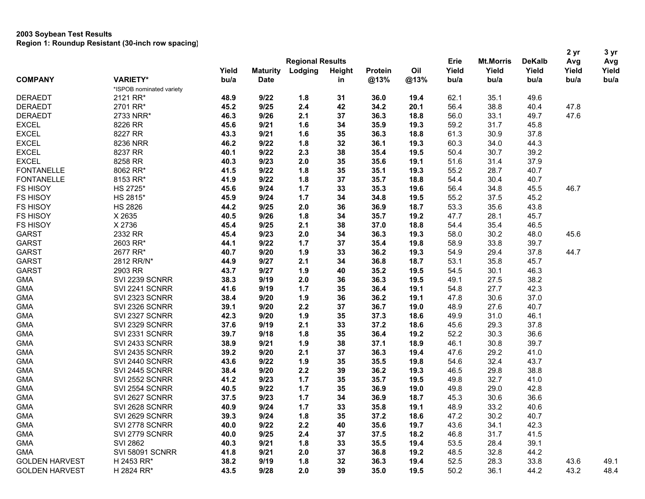| <b>Regional Results</b><br>Oil<br>Yield<br>Yield<br>Yield<br><b>Maturity</b><br>Lodging<br>Height<br>Yield<br>Yield<br>Yield<br>Protein<br><b>COMPANY</b><br><b>VARIETY*</b><br>bu/a<br><b>Date</b><br>@13%<br>@13%<br>bu/a<br>bu/a<br>in<br>bu/a<br>bu/a<br>bu/a<br>*ISPOB nominated variety<br>9/22<br>62.1<br>35.1<br><b>DERAEDT</b><br>2121 RR*<br>48.9<br>1.8<br>31<br>36.0<br>19.4<br>49.6<br>38.8<br>9/25<br>2.4<br>42<br>34.2<br>56.4<br>40.4<br>47.8<br><b>DERAEDT</b><br>2701 RR*<br>45.2<br>20.1<br>33.1<br><b>DERAEDT</b><br>2733 NRR*<br>46.3<br>9/26<br>2.1<br>37<br>36.3<br>18.8<br>56.0<br>49.7<br>47.6<br><b>EXCEL</b><br>8226 RR<br>9/21<br>1.6<br>34<br>59.2<br>31.7<br>45.8<br>45.6<br>35.9<br>19.3<br><b>EXCEL</b><br>8227 RR<br>9/21<br>1.6<br>35<br>36.3<br>61.3<br>30.9<br>37.8<br>43.3<br>18.8<br><b>EXCEL</b><br>8236 NRR<br>1.8<br>32<br>36.1<br>60.3<br>34.0<br>44.3<br>46.2<br>9/22<br>19.3<br><b>EXCEL</b><br>8237 RR<br>9/22<br>2.3<br>38<br>30.7<br>39.2<br>40.1<br>35.4<br>19.5<br>50.4<br><b>EXCEL</b><br>8258 RR<br>9/23<br>2.0<br>35<br>51.6<br>31.4<br>37.9<br>40.3<br>35.6<br>19.1<br><b>FONTANELLE</b><br>8062 RR*<br>41.5<br>9/22<br>1.8<br>35<br>35.1<br>55.2<br>28.7<br>40.7<br>19.3<br><b>FONTANELLE</b><br>8153 RR*<br>9/22<br>1.8<br>37<br>35.7<br>18.8<br>54.4<br>30.4<br>40.7<br>41.9<br><b>FS HISOY</b><br>HS 2725*<br>9/24<br>1.7<br>33<br>35.3<br>56.4<br>34.8<br>45.5<br>46.7<br>45.6<br>19.6<br><b>FS HISOY</b><br>HS 2815*<br>9/24<br>1.7<br>34<br>34.8<br>19.5<br>55.2<br>37.5<br>45.2<br>45.9<br><b>FS HISOY</b><br><b>HS 2826</b><br>9/25<br>2.0<br>36<br>36.9<br>18.7<br>53.3<br>35.6<br>43.8<br>44.2<br><b>FS HISOY</b><br>X 2635<br>9/26<br>1.8<br>34<br>19.2<br>47.7<br>28.1<br>45.7<br>40.5<br>35.7<br><b>FS HISOY</b><br>X 2736<br>9/25<br>2.1<br>38<br>35.4<br>45.4<br>37.0<br>18.8<br>54.4<br>46.5<br><b>GARST</b><br>2332 RR<br>9/23<br>2.0<br>36.3<br>19.3<br>58.0<br>30.2<br>48.0<br>45.6<br>45.4<br>34<br>1.7<br><b>GARST</b><br>2603 RR*<br>9/22<br>37<br>35.4<br>19.8<br>58.9<br>33.8<br>39.7<br>44.1<br><b>GARST</b><br>2677 RR*<br>9/20<br>1.9<br>33<br>36.2<br>54.9<br>29.4<br>37.8<br>44.7<br>40.7<br>19.3<br><b>GARST</b><br>2812 RR/N*<br>9/27<br>2.1<br>34<br>36.8<br>18.7<br>53.1<br>35.8<br>45.7<br>44.9<br><b>GARST</b><br>2903 RR<br>1.9<br>35.2<br>54.5<br>30.1<br>46.3<br>43.7<br>9/27<br>40<br>19.5<br><b>GMA</b><br>38.3<br>9/19<br>2.0<br>36<br>36.3<br>49.1<br>27.5<br>38.2<br>SVI 2239 SCNRR<br>19.5<br><b>GMA</b><br>1.7<br>35<br>27.7<br>42.3<br>SVI 2241 SCNRR<br>41.6<br>9/19<br>36.4<br>19.1<br>54.8<br>37.0<br><b>GMA</b><br>38.4<br>9/20<br>1.9<br>36<br>36.2<br>47.8<br>30.6<br>SVI 2323 SCNRR<br>19.1<br>2.2<br>27.6<br>40.7<br><b>GMA</b><br>SVI 2326 SCNRR<br>9/20<br>37<br>36.7<br>48.9<br>39.1<br>19.0<br>1.9<br>46.1<br><b>GMA</b><br>SVI 2327 SCNRR<br>9/20<br>35<br>37.3<br>18.6<br>49.9<br>31.0<br>42.3<br><b>GMA</b><br>37.8<br>SVI 2329 SCNRR<br>37.6<br>9/19<br>2.1<br>33<br>37.2<br>18.6<br>29.3<br>45.6<br><b>GMA</b><br>39.7<br>1.8<br>35<br>36.4<br>52.2<br>30.3<br>36.6<br>SVI 2331 SCNRR<br>9/18<br>19.2<br><b>GMA</b><br>SVI 2433 SCNRR<br>38.9<br>9/21<br>1.9<br>38<br>18.9<br>46.1<br>30.8<br>39.7<br>37.1<br><b>GMA</b><br>2.1<br>37<br>29.2<br>41.0<br>SVI 2435 SCNRR<br>39.2<br>9/20<br>36.3<br>19.4<br>47.6<br><b>GMA</b><br>SVI 2440 SCNRR<br>43.6<br>9/22<br>1.9<br>35<br>35.5<br>19.8<br>54.6<br>32.4<br>43.7<br><b>GMA</b><br>SVI 2445 SCNRR<br>9/20<br>2.2<br>39<br>36.2<br>19.3<br>46.5<br>29.8<br>38.8<br>38.4<br>1.7<br><b>GMA</b><br>SVI 2552 SCNRR<br>9/23<br>35<br>35.7<br>32.7<br>41.0<br>41.2<br>19.5<br>49.8<br><b>GMA</b><br>SVI 2554 SCNRR<br>9/22<br>1.7<br>35<br>29.0<br>42.8<br>40.5<br>36.9<br>19.0<br>49.8<br><b>GMA</b><br>9/23<br>1.7<br>30.6<br>36.6<br>SVI 2627 SCNRR<br>37.5<br>34<br>36.9<br>18.7<br>45.3<br>1.7<br>33<br>33.2<br><b>GMA</b><br>SVI 2628 SCNRR<br>40.9<br>9/24<br>35.8<br>19.1<br>48.9<br>40.6<br><b>GMA</b><br>SVI 2629 SCNRR<br>39.3<br>9/24<br>1.8<br>35<br>37.2<br>18.6<br>47.2<br>30.2<br>40.7<br><b>GMA</b><br>9/22<br>2.2<br>35.6<br>43.6<br>42.3<br>SVI 2778 SCNRR<br>40.0<br>40<br>19.7<br>34.1<br>2.4<br>9/25<br>46.8<br>31.7<br>41.5<br><b>GMA</b><br>SVI 2779 SCNRR<br>40.0<br>37<br>37.5<br>18.2<br><b>SVI 2862</b><br>9/21<br>1.8<br>33<br>53.5<br>39.1<br><b>GMA</b><br>40.3<br>35.5<br>19.4<br>28.4<br><b>SVI 58091 SCNRR</b><br>44.2<br><b>GMA</b><br>41.8<br>9/21<br>2.0<br>37<br>36.8<br>19.2<br>48.5<br>32.8<br>49.1<br><b>GOLDEN HARVEST</b><br>H 2453 RR*<br>38.2<br>9/19<br>1.8<br>32<br>36.3<br>19.4<br>52.5<br>28.3<br>33.8<br>43.6<br><b>GOLDEN HARVEST</b><br>43.5<br>9/28<br>2.0<br>39<br>35.0<br>19.5<br>36.1<br>43.2 |  |            |  |  |  |      |                  |               | 2 yr | 3 yr<br>Avg |
|------------------------------------------------------------------------------------------------------------------------------------------------------------------------------------------------------------------------------------------------------------------------------------------------------------------------------------------------------------------------------------------------------------------------------------------------------------------------------------------------------------------------------------------------------------------------------------------------------------------------------------------------------------------------------------------------------------------------------------------------------------------------------------------------------------------------------------------------------------------------------------------------------------------------------------------------------------------------------------------------------------------------------------------------------------------------------------------------------------------------------------------------------------------------------------------------------------------------------------------------------------------------------------------------------------------------------------------------------------------------------------------------------------------------------------------------------------------------------------------------------------------------------------------------------------------------------------------------------------------------------------------------------------------------------------------------------------------------------------------------------------------------------------------------------------------------------------------------------------------------------------------------------------------------------------------------------------------------------------------------------------------------------------------------------------------------------------------------------------------------------------------------------------------------------------------------------------------------------------------------------------------------------------------------------------------------------------------------------------------------------------------------------------------------------------------------------------------------------------------------------------------------------------------------------------------------------------------------------------------------------------------------------------------------------------------------------------------------------------------------------------------------------------------------------------------------------------------------------------------------------------------------------------------------------------------------------------------------------------------------------------------------------------------------------------------------------------------------------------------------------------------------------------------------------------------------------------------------------------------------------------------------------------------------------------------------------------------------------------------------------------------------------------------------------------------------------------------------------------------------------------------------------------------------------------------------------------------------------------------------------------------------------------------------------------------------------------------------------------------------------------------------------------------------------------------------------------------------------------------------------------------------------------------------------------------------------------------------------------------------------------------------------------------------------------------------------------------------------------------------------------------------------------------------------------------------------------------------------------------------------------------------------------------------------------------------------------------------------------------------------------------------------------------------------------------------------------------------------------------------------------------------------------------------------------------------------------------------------------------------------------------------------------------------------------------------------------------------|--|------------|--|--|--|------|------------------|---------------|------|-------------|
|                                                                                                                                                                                                                                                                                                                                                                                                                                                                                                                                                                                                                                                                                                                                                                                                                                                                                                                                                                                                                                                                                                                                                                                                                                                                                                                                                                                                                                                                                                                                                                                                                                                                                                                                                                                                                                                                                                                                                                                                                                                                                                                                                                                                                                                                                                                                                                                                                                                                                                                                                                                                                                                                                                                                                                                                                                                                                                                                                                                                                                                                                                                                                                                                                                                                                                                                                                                                                                                                                                                                                                                                                                                                                                                                                                                                                                                                                                                                                                                                                                                                                                                                                                                                                                                                                                                                                                                                                                                                                                                                                                                                                                                                                                                        |  |            |  |  |  | Erie | <b>Mt.Morris</b> | <b>DeKalb</b> | Avg  |             |
|                                                                                                                                                                                                                                                                                                                                                                                                                                                                                                                                                                                                                                                                                                                                                                                                                                                                                                                                                                                                                                                                                                                                                                                                                                                                                                                                                                                                                                                                                                                                                                                                                                                                                                                                                                                                                                                                                                                                                                                                                                                                                                                                                                                                                                                                                                                                                                                                                                                                                                                                                                                                                                                                                                                                                                                                                                                                                                                                                                                                                                                                                                                                                                                                                                                                                                                                                                                                                                                                                                                                                                                                                                                                                                                                                                                                                                                                                                                                                                                                                                                                                                                                                                                                                                                                                                                                                                                                                                                                                                                                                                                                                                                                                                                        |  |            |  |  |  |      |                  |               |      |             |
|                                                                                                                                                                                                                                                                                                                                                                                                                                                                                                                                                                                                                                                                                                                                                                                                                                                                                                                                                                                                                                                                                                                                                                                                                                                                                                                                                                                                                                                                                                                                                                                                                                                                                                                                                                                                                                                                                                                                                                                                                                                                                                                                                                                                                                                                                                                                                                                                                                                                                                                                                                                                                                                                                                                                                                                                                                                                                                                                                                                                                                                                                                                                                                                                                                                                                                                                                                                                                                                                                                                                                                                                                                                                                                                                                                                                                                                                                                                                                                                                                                                                                                                                                                                                                                                                                                                                                                                                                                                                                                                                                                                                                                                                                                                        |  |            |  |  |  |      |                  |               |      |             |
|                                                                                                                                                                                                                                                                                                                                                                                                                                                                                                                                                                                                                                                                                                                                                                                                                                                                                                                                                                                                                                                                                                                                                                                                                                                                                                                                                                                                                                                                                                                                                                                                                                                                                                                                                                                                                                                                                                                                                                                                                                                                                                                                                                                                                                                                                                                                                                                                                                                                                                                                                                                                                                                                                                                                                                                                                                                                                                                                                                                                                                                                                                                                                                                                                                                                                                                                                                                                                                                                                                                                                                                                                                                                                                                                                                                                                                                                                                                                                                                                                                                                                                                                                                                                                                                                                                                                                                                                                                                                                                                                                                                                                                                                                                                        |  |            |  |  |  |      |                  |               |      |             |
|                                                                                                                                                                                                                                                                                                                                                                                                                                                                                                                                                                                                                                                                                                                                                                                                                                                                                                                                                                                                                                                                                                                                                                                                                                                                                                                                                                                                                                                                                                                                                                                                                                                                                                                                                                                                                                                                                                                                                                                                                                                                                                                                                                                                                                                                                                                                                                                                                                                                                                                                                                                                                                                                                                                                                                                                                                                                                                                                                                                                                                                                                                                                                                                                                                                                                                                                                                                                                                                                                                                                                                                                                                                                                                                                                                                                                                                                                                                                                                                                                                                                                                                                                                                                                                                                                                                                                                                                                                                                                                                                                                                                                                                                                                                        |  |            |  |  |  |      |                  |               |      |             |
|                                                                                                                                                                                                                                                                                                                                                                                                                                                                                                                                                                                                                                                                                                                                                                                                                                                                                                                                                                                                                                                                                                                                                                                                                                                                                                                                                                                                                                                                                                                                                                                                                                                                                                                                                                                                                                                                                                                                                                                                                                                                                                                                                                                                                                                                                                                                                                                                                                                                                                                                                                                                                                                                                                                                                                                                                                                                                                                                                                                                                                                                                                                                                                                                                                                                                                                                                                                                                                                                                                                                                                                                                                                                                                                                                                                                                                                                                                                                                                                                                                                                                                                                                                                                                                                                                                                                                                                                                                                                                                                                                                                                                                                                                                                        |  |            |  |  |  |      |                  |               |      |             |
|                                                                                                                                                                                                                                                                                                                                                                                                                                                                                                                                                                                                                                                                                                                                                                                                                                                                                                                                                                                                                                                                                                                                                                                                                                                                                                                                                                                                                                                                                                                                                                                                                                                                                                                                                                                                                                                                                                                                                                                                                                                                                                                                                                                                                                                                                                                                                                                                                                                                                                                                                                                                                                                                                                                                                                                                                                                                                                                                                                                                                                                                                                                                                                                                                                                                                                                                                                                                                                                                                                                                                                                                                                                                                                                                                                                                                                                                                                                                                                                                                                                                                                                                                                                                                                                                                                                                                                                                                                                                                                                                                                                                                                                                                                                        |  |            |  |  |  |      |                  |               |      |             |
|                                                                                                                                                                                                                                                                                                                                                                                                                                                                                                                                                                                                                                                                                                                                                                                                                                                                                                                                                                                                                                                                                                                                                                                                                                                                                                                                                                                                                                                                                                                                                                                                                                                                                                                                                                                                                                                                                                                                                                                                                                                                                                                                                                                                                                                                                                                                                                                                                                                                                                                                                                                                                                                                                                                                                                                                                                                                                                                                                                                                                                                                                                                                                                                                                                                                                                                                                                                                                                                                                                                                                                                                                                                                                                                                                                                                                                                                                                                                                                                                                                                                                                                                                                                                                                                                                                                                                                                                                                                                                                                                                                                                                                                                                                                        |  |            |  |  |  |      |                  |               |      |             |
|                                                                                                                                                                                                                                                                                                                                                                                                                                                                                                                                                                                                                                                                                                                                                                                                                                                                                                                                                                                                                                                                                                                                                                                                                                                                                                                                                                                                                                                                                                                                                                                                                                                                                                                                                                                                                                                                                                                                                                                                                                                                                                                                                                                                                                                                                                                                                                                                                                                                                                                                                                                                                                                                                                                                                                                                                                                                                                                                                                                                                                                                                                                                                                                                                                                                                                                                                                                                                                                                                                                                                                                                                                                                                                                                                                                                                                                                                                                                                                                                                                                                                                                                                                                                                                                                                                                                                                                                                                                                                                                                                                                                                                                                                                                        |  |            |  |  |  |      |                  |               |      |             |
|                                                                                                                                                                                                                                                                                                                                                                                                                                                                                                                                                                                                                                                                                                                                                                                                                                                                                                                                                                                                                                                                                                                                                                                                                                                                                                                                                                                                                                                                                                                                                                                                                                                                                                                                                                                                                                                                                                                                                                                                                                                                                                                                                                                                                                                                                                                                                                                                                                                                                                                                                                                                                                                                                                                                                                                                                                                                                                                                                                                                                                                                                                                                                                                                                                                                                                                                                                                                                                                                                                                                                                                                                                                                                                                                                                                                                                                                                                                                                                                                                                                                                                                                                                                                                                                                                                                                                                                                                                                                                                                                                                                                                                                                                                                        |  |            |  |  |  |      |                  |               |      |             |
|                                                                                                                                                                                                                                                                                                                                                                                                                                                                                                                                                                                                                                                                                                                                                                                                                                                                                                                                                                                                                                                                                                                                                                                                                                                                                                                                                                                                                                                                                                                                                                                                                                                                                                                                                                                                                                                                                                                                                                                                                                                                                                                                                                                                                                                                                                                                                                                                                                                                                                                                                                                                                                                                                                                                                                                                                                                                                                                                                                                                                                                                                                                                                                                                                                                                                                                                                                                                                                                                                                                                                                                                                                                                                                                                                                                                                                                                                                                                                                                                                                                                                                                                                                                                                                                                                                                                                                                                                                                                                                                                                                                                                                                                                                                        |  |            |  |  |  |      |                  |               |      |             |
|                                                                                                                                                                                                                                                                                                                                                                                                                                                                                                                                                                                                                                                                                                                                                                                                                                                                                                                                                                                                                                                                                                                                                                                                                                                                                                                                                                                                                                                                                                                                                                                                                                                                                                                                                                                                                                                                                                                                                                                                                                                                                                                                                                                                                                                                                                                                                                                                                                                                                                                                                                                                                                                                                                                                                                                                                                                                                                                                                                                                                                                                                                                                                                                                                                                                                                                                                                                                                                                                                                                                                                                                                                                                                                                                                                                                                                                                                                                                                                                                                                                                                                                                                                                                                                                                                                                                                                                                                                                                                                                                                                                                                                                                                                                        |  |            |  |  |  |      |                  |               |      |             |
|                                                                                                                                                                                                                                                                                                                                                                                                                                                                                                                                                                                                                                                                                                                                                                                                                                                                                                                                                                                                                                                                                                                                                                                                                                                                                                                                                                                                                                                                                                                                                                                                                                                                                                                                                                                                                                                                                                                                                                                                                                                                                                                                                                                                                                                                                                                                                                                                                                                                                                                                                                                                                                                                                                                                                                                                                                                                                                                                                                                                                                                                                                                                                                                                                                                                                                                                                                                                                                                                                                                                                                                                                                                                                                                                                                                                                                                                                                                                                                                                                                                                                                                                                                                                                                                                                                                                                                                                                                                                                                                                                                                                                                                                                                                        |  |            |  |  |  |      |                  |               |      |             |
|                                                                                                                                                                                                                                                                                                                                                                                                                                                                                                                                                                                                                                                                                                                                                                                                                                                                                                                                                                                                                                                                                                                                                                                                                                                                                                                                                                                                                                                                                                                                                                                                                                                                                                                                                                                                                                                                                                                                                                                                                                                                                                                                                                                                                                                                                                                                                                                                                                                                                                                                                                                                                                                                                                                                                                                                                                                                                                                                                                                                                                                                                                                                                                                                                                                                                                                                                                                                                                                                                                                                                                                                                                                                                                                                                                                                                                                                                                                                                                                                                                                                                                                                                                                                                                                                                                                                                                                                                                                                                                                                                                                                                                                                                                                        |  |            |  |  |  |      |                  |               |      |             |
|                                                                                                                                                                                                                                                                                                                                                                                                                                                                                                                                                                                                                                                                                                                                                                                                                                                                                                                                                                                                                                                                                                                                                                                                                                                                                                                                                                                                                                                                                                                                                                                                                                                                                                                                                                                                                                                                                                                                                                                                                                                                                                                                                                                                                                                                                                                                                                                                                                                                                                                                                                                                                                                                                                                                                                                                                                                                                                                                                                                                                                                                                                                                                                                                                                                                                                                                                                                                                                                                                                                                                                                                                                                                                                                                                                                                                                                                                                                                                                                                                                                                                                                                                                                                                                                                                                                                                                                                                                                                                                                                                                                                                                                                                                                        |  |            |  |  |  |      |                  |               |      |             |
|                                                                                                                                                                                                                                                                                                                                                                                                                                                                                                                                                                                                                                                                                                                                                                                                                                                                                                                                                                                                                                                                                                                                                                                                                                                                                                                                                                                                                                                                                                                                                                                                                                                                                                                                                                                                                                                                                                                                                                                                                                                                                                                                                                                                                                                                                                                                                                                                                                                                                                                                                                                                                                                                                                                                                                                                                                                                                                                                                                                                                                                                                                                                                                                                                                                                                                                                                                                                                                                                                                                                                                                                                                                                                                                                                                                                                                                                                                                                                                                                                                                                                                                                                                                                                                                                                                                                                                                                                                                                                                                                                                                                                                                                                                                        |  |            |  |  |  |      |                  |               |      |             |
|                                                                                                                                                                                                                                                                                                                                                                                                                                                                                                                                                                                                                                                                                                                                                                                                                                                                                                                                                                                                                                                                                                                                                                                                                                                                                                                                                                                                                                                                                                                                                                                                                                                                                                                                                                                                                                                                                                                                                                                                                                                                                                                                                                                                                                                                                                                                                                                                                                                                                                                                                                                                                                                                                                                                                                                                                                                                                                                                                                                                                                                                                                                                                                                                                                                                                                                                                                                                                                                                                                                                                                                                                                                                                                                                                                                                                                                                                                                                                                                                                                                                                                                                                                                                                                                                                                                                                                                                                                                                                                                                                                                                                                                                                                                        |  |            |  |  |  |      |                  |               |      |             |
|                                                                                                                                                                                                                                                                                                                                                                                                                                                                                                                                                                                                                                                                                                                                                                                                                                                                                                                                                                                                                                                                                                                                                                                                                                                                                                                                                                                                                                                                                                                                                                                                                                                                                                                                                                                                                                                                                                                                                                                                                                                                                                                                                                                                                                                                                                                                                                                                                                                                                                                                                                                                                                                                                                                                                                                                                                                                                                                                                                                                                                                                                                                                                                                                                                                                                                                                                                                                                                                                                                                                                                                                                                                                                                                                                                                                                                                                                                                                                                                                                                                                                                                                                                                                                                                                                                                                                                                                                                                                                                                                                                                                                                                                                                                        |  |            |  |  |  |      |                  |               |      |             |
|                                                                                                                                                                                                                                                                                                                                                                                                                                                                                                                                                                                                                                                                                                                                                                                                                                                                                                                                                                                                                                                                                                                                                                                                                                                                                                                                                                                                                                                                                                                                                                                                                                                                                                                                                                                                                                                                                                                                                                                                                                                                                                                                                                                                                                                                                                                                                                                                                                                                                                                                                                                                                                                                                                                                                                                                                                                                                                                                                                                                                                                                                                                                                                                                                                                                                                                                                                                                                                                                                                                                                                                                                                                                                                                                                                                                                                                                                                                                                                                                                                                                                                                                                                                                                                                                                                                                                                                                                                                                                                                                                                                                                                                                                                                        |  |            |  |  |  |      |                  |               |      |             |
|                                                                                                                                                                                                                                                                                                                                                                                                                                                                                                                                                                                                                                                                                                                                                                                                                                                                                                                                                                                                                                                                                                                                                                                                                                                                                                                                                                                                                                                                                                                                                                                                                                                                                                                                                                                                                                                                                                                                                                                                                                                                                                                                                                                                                                                                                                                                                                                                                                                                                                                                                                                                                                                                                                                                                                                                                                                                                                                                                                                                                                                                                                                                                                                                                                                                                                                                                                                                                                                                                                                                                                                                                                                                                                                                                                                                                                                                                                                                                                                                                                                                                                                                                                                                                                                                                                                                                                                                                                                                                                                                                                                                                                                                                                                        |  |            |  |  |  |      |                  |               |      |             |
|                                                                                                                                                                                                                                                                                                                                                                                                                                                                                                                                                                                                                                                                                                                                                                                                                                                                                                                                                                                                                                                                                                                                                                                                                                                                                                                                                                                                                                                                                                                                                                                                                                                                                                                                                                                                                                                                                                                                                                                                                                                                                                                                                                                                                                                                                                                                                                                                                                                                                                                                                                                                                                                                                                                                                                                                                                                                                                                                                                                                                                                                                                                                                                                                                                                                                                                                                                                                                                                                                                                                                                                                                                                                                                                                                                                                                                                                                                                                                                                                                                                                                                                                                                                                                                                                                                                                                                                                                                                                                                                                                                                                                                                                                                                        |  |            |  |  |  |      |                  |               |      |             |
|                                                                                                                                                                                                                                                                                                                                                                                                                                                                                                                                                                                                                                                                                                                                                                                                                                                                                                                                                                                                                                                                                                                                                                                                                                                                                                                                                                                                                                                                                                                                                                                                                                                                                                                                                                                                                                                                                                                                                                                                                                                                                                                                                                                                                                                                                                                                                                                                                                                                                                                                                                                                                                                                                                                                                                                                                                                                                                                                                                                                                                                                                                                                                                                                                                                                                                                                                                                                                                                                                                                                                                                                                                                                                                                                                                                                                                                                                                                                                                                                                                                                                                                                                                                                                                                                                                                                                                                                                                                                                                                                                                                                                                                                                                                        |  |            |  |  |  |      |                  |               |      |             |
|                                                                                                                                                                                                                                                                                                                                                                                                                                                                                                                                                                                                                                                                                                                                                                                                                                                                                                                                                                                                                                                                                                                                                                                                                                                                                                                                                                                                                                                                                                                                                                                                                                                                                                                                                                                                                                                                                                                                                                                                                                                                                                                                                                                                                                                                                                                                                                                                                                                                                                                                                                                                                                                                                                                                                                                                                                                                                                                                                                                                                                                                                                                                                                                                                                                                                                                                                                                                                                                                                                                                                                                                                                                                                                                                                                                                                                                                                                                                                                                                                                                                                                                                                                                                                                                                                                                                                                                                                                                                                                                                                                                                                                                                                                                        |  |            |  |  |  |      |                  |               |      |             |
|                                                                                                                                                                                                                                                                                                                                                                                                                                                                                                                                                                                                                                                                                                                                                                                                                                                                                                                                                                                                                                                                                                                                                                                                                                                                                                                                                                                                                                                                                                                                                                                                                                                                                                                                                                                                                                                                                                                                                                                                                                                                                                                                                                                                                                                                                                                                                                                                                                                                                                                                                                                                                                                                                                                                                                                                                                                                                                                                                                                                                                                                                                                                                                                                                                                                                                                                                                                                                                                                                                                                                                                                                                                                                                                                                                                                                                                                                                                                                                                                                                                                                                                                                                                                                                                                                                                                                                                                                                                                                                                                                                                                                                                                                                                        |  |            |  |  |  |      |                  |               |      |             |
|                                                                                                                                                                                                                                                                                                                                                                                                                                                                                                                                                                                                                                                                                                                                                                                                                                                                                                                                                                                                                                                                                                                                                                                                                                                                                                                                                                                                                                                                                                                                                                                                                                                                                                                                                                                                                                                                                                                                                                                                                                                                                                                                                                                                                                                                                                                                                                                                                                                                                                                                                                                                                                                                                                                                                                                                                                                                                                                                                                                                                                                                                                                                                                                                                                                                                                                                                                                                                                                                                                                                                                                                                                                                                                                                                                                                                                                                                                                                                                                                                                                                                                                                                                                                                                                                                                                                                                                                                                                                                                                                                                                                                                                                                                                        |  |            |  |  |  |      |                  |               |      |             |
|                                                                                                                                                                                                                                                                                                                                                                                                                                                                                                                                                                                                                                                                                                                                                                                                                                                                                                                                                                                                                                                                                                                                                                                                                                                                                                                                                                                                                                                                                                                                                                                                                                                                                                                                                                                                                                                                                                                                                                                                                                                                                                                                                                                                                                                                                                                                                                                                                                                                                                                                                                                                                                                                                                                                                                                                                                                                                                                                                                                                                                                                                                                                                                                                                                                                                                                                                                                                                                                                                                                                                                                                                                                                                                                                                                                                                                                                                                                                                                                                                                                                                                                                                                                                                                                                                                                                                                                                                                                                                                                                                                                                                                                                                                                        |  |            |  |  |  |      |                  |               |      |             |
|                                                                                                                                                                                                                                                                                                                                                                                                                                                                                                                                                                                                                                                                                                                                                                                                                                                                                                                                                                                                                                                                                                                                                                                                                                                                                                                                                                                                                                                                                                                                                                                                                                                                                                                                                                                                                                                                                                                                                                                                                                                                                                                                                                                                                                                                                                                                                                                                                                                                                                                                                                                                                                                                                                                                                                                                                                                                                                                                                                                                                                                                                                                                                                                                                                                                                                                                                                                                                                                                                                                                                                                                                                                                                                                                                                                                                                                                                                                                                                                                                                                                                                                                                                                                                                                                                                                                                                                                                                                                                                                                                                                                                                                                                                                        |  |            |  |  |  |      |                  |               |      |             |
|                                                                                                                                                                                                                                                                                                                                                                                                                                                                                                                                                                                                                                                                                                                                                                                                                                                                                                                                                                                                                                                                                                                                                                                                                                                                                                                                                                                                                                                                                                                                                                                                                                                                                                                                                                                                                                                                                                                                                                                                                                                                                                                                                                                                                                                                                                                                                                                                                                                                                                                                                                                                                                                                                                                                                                                                                                                                                                                                                                                                                                                                                                                                                                                                                                                                                                                                                                                                                                                                                                                                                                                                                                                                                                                                                                                                                                                                                                                                                                                                                                                                                                                                                                                                                                                                                                                                                                                                                                                                                                                                                                                                                                                                                                                        |  |            |  |  |  |      |                  |               |      |             |
|                                                                                                                                                                                                                                                                                                                                                                                                                                                                                                                                                                                                                                                                                                                                                                                                                                                                                                                                                                                                                                                                                                                                                                                                                                                                                                                                                                                                                                                                                                                                                                                                                                                                                                                                                                                                                                                                                                                                                                                                                                                                                                                                                                                                                                                                                                                                                                                                                                                                                                                                                                                                                                                                                                                                                                                                                                                                                                                                                                                                                                                                                                                                                                                                                                                                                                                                                                                                                                                                                                                                                                                                                                                                                                                                                                                                                                                                                                                                                                                                                                                                                                                                                                                                                                                                                                                                                                                                                                                                                                                                                                                                                                                                                                                        |  |            |  |  |  |      |                  |               |      |             |
|                                                                                                                                                                                                                                                                                                                                                                                                                                                                                                                                                                                                                                                                                                                                                                                                                                                                                                                                                                                                                                                                                                                                                                                                                                                                                                                                                                                                                                                                                                                                                                                                                                                                                                                                                                                                                                                                                                                                                                                                                                                                                                                                                                                                                                                                                                                                                                                                                                                                                                                                                                                                                                                                                                                                                                                                                                                                                                                                                                                                                                                                                                                                                                                                                                                                                                                                                                                                                                                                                                                                                                                                                                                                                                                                                                                                                                                                                                                                                                                                                                                                                                                                                                                                                                                                                                                                                                                                                                                                                                                                                                                                                                                                                                                        |  |            |  |  |  |      |                  |               |      |             |
|                                                                                                                                                                                                                                                                                                                                                                                                                                                                                                                                                                                                                                                                                                                                                                                                                                                                                                                                                                                                                                                                                                                                                                                                                                                                                                                                                                                                                                                                                                                                                                                                                                                                                                                                                                                                                                                                                                                                                                                                                                                                                                                                                                                                                                                                                                                                                                                                                                                                                                                                                                                                                                                                                                                                                                                                                                                                                                                                                                                                                                                                                                                                                                                                                                                                                                                                                                                                                                                                                                                                                                                                                                                                                                                                                                                                                                                                                                                                                                                                                                                                                                                                                                                                                                                                                                                                                                                                                                                                                                                                                                                                                                                                                                                        |  |            |  |  |  |      |                  |               |      |             |
|                                                                                                                                                                                                                                                                                                                                                                                                                                                                                                                                                                                                                                                                                                                                                                                                                                                                                                                                                                                                                                                                                                                                                                                                                                                                                                                                                                                                                                                                                                                                                                                                                                                                                                                                                                                                                                                                                                                                                                                                                                                                                                                                                                                                                                                                                                                                                                                                                                                                                                                                                                                                                                                                                                                                                                                                                                                                                                                                                                                                                                                                                                                                                                                                                                                                                                                                                                                                                                                                                                                                                                                                                                                                                                                                                                                                                                                                                                                                                                                                                                                                                                                                                                                                                                                                                                                                                                                                                                                                                                                                                                                                                                                                                                                        |  |            |  |  |  |      |                  |               |      |             |
|                                                                                                                                                                                                                                                                                                                                                                                                                                                                                                                                                                                                                                                                                                                                                                                                                                                                                                                                                                                                                                                                                                                                                                                                                                                                                                                                                                                                                                                                                                                                                                                                                                                                                                                                                                                                                                                                                                                                                                                                                                                                                                                                                                                                                                                                                                                                                                                                                                                                                                                                                                                                                                                                                                                                                                                                                                                                                                                                                                                                                                                                                                                                                                                                                                                                                                                                                                                                                                                                                                                                                                                                                                                                                                                                                                                                                                                                                                                                                                                                                                                                                                                                                                                                                                                                                                                                                                                                                                                                                                                                                                                                                                                                                                                        |  |            |  |  |  |      |                  |               |      |             |
|                                                                                                                                                                                                                                                                                                                                                                                                                                                                                                                                                                                                                                                                                                                                                                                                                                                                                                                                                                                                                                                                                                                                                                                                                                                                                                                                                                                                                                                                                                                                                                                                                                                                                                                                                                                                                                                                                                                                                                                                                                                                                                                                                                                                                                                                                                                                                                                                                                                                                                                                                                                                                                                                                                                                                                                                                                                                                                                                                                                                                                                                                                                                                                                                                                                                                                                                                                                                                                                                                                                                                                                                                                                                                                                                                                                                                                                                                                                                                                                                                                                                                                                                                                                                                                                                                                                                                                                                                                                                                                                                                                                                                                                                                                                        |  |            |  |  |  |      |                  |               |      |             |
|                                                                                                                                                                                                                                                                                                                                                                                                                                                                                                                                                                                                                                                                                                                                                                                                                                                                                                                                                                                                                                                                                                                                                                                                                                                                                                                                                                                                                                                                                                                                                                                                                                                                                                                                                                                                                                                                                                                                                                                                                                                                                                                                                                                                                                                                                                                                                                                                                                                                                                                                                                                                                                                                                                                                                                                                                                                                                                                                                                                                                                                                                                                                                                                                                                                                                                                                                                                                                                                                                                                                                                                                                                                                                                                                                                                                                                                                                                                                                                                                                                                                                                                                                                                                                                                                                                                                                                                                                                                                                                                                                                                                                                                                                                                        |  |            |  |  |  |      |                  |               |      |             |
|                                                                                                                                                                                                                                                                                                                                                                                                                                                                                                                                                                                                                                                                                                                                                                                                                                                                                                                                                                                                                                                                                                                                                                                                                                                                                                                                                                                                                                                                                                                                                                                                                                                                                                                                                                                                                                                                                                                                                                                                                                                                                                                                                                                                                                                                                                                                                                                                                                                                                                                                                                                                                                                                                                                                                                                                                                                                                                                                                                                                                                                                                                                                                                                                                                                                                                                                                                                                                                                                                                                                                                                                                                                                                                                                                                                                                                                                                                                                                                                                                                                                                                                                                                                                                                                                                                                                                                                                                                                                                                                                                                                                                                                                                                                        |  |            |  |  |  |      |                  |               |      |             |
|                                                                                                                                                                                                                                                                                                                                                                                                                                                                                                                                                                                                                                                                                                                                                                                                                                                                                                                                                                                                                                                                                                                                                                                                                                                                                                                                                                                                                                                                                                                                                                                                                                                                                                                                                                                                                                                                                                                                                                                                                                                                                                                                                                                                                                                                                                                                                                                                                                                                                                                                                                                                                                                                                                                                                                                                                                                                                                                                                                                                                                                                                                                                                                                                                                                                                                                                                                                                                                                                                                                                                                                                                                                                                                                                                                                                                                                                                                                                                                                                                                                                                                                                                                                                                                                                                                                                                                                                                                                                                                                                                                                                                                                                                                                        |  |            |  |  |  |      |                  |               |      |             |
|                                                                                                                                                                                                                                                                                                                                                                                                                                                                                                                                                                                                                                                                                                                                                                                                                                                                                                                                                                                                                                                                                                                                                                                                                                                                                                                                                                                                                                                                                                                                                                                                                                                                                                                                                                                                                                                                                                                                                                                                                                                                                                                                                                                                                                                                                                                                                                                                                                                                                                                                                                                                                                                                                                                                                                                                                                                                                                                                                                                                                                                                                                                                                                                                                                                                                                                                                                                                                                                                                                                                                                                                                                                                                                                                                                                                                                                                                                                                                                                                                                                                                                                                                                                                                                                                                                                                                                                                                                                                                                                                                                                                                                                                                                                        |  |            |  |  |  |      |                  |               |      |             |
|                                                                                                                                                                                                                                                                                                                                                                                                                                                                                                                                                                                                                                                                                                                                                                                                                                                                                                                                                                                                                                                                                                                                                                                                                                                                                                                                                                                                                                                                                                                                                                                                                                                                                                                                                                                                                                                                                                                                                                                                                                                                                                                                                                                                                                                                                                                                                                                                                                                                                                                                                                                                                                                                                                                                                                                                                                                                                                                                                                                                                                                                                                                                                                                                                                                                                                                                                                                                                                                                                                                                                                                                                                                                                                                                                                                                                                                                                                                                                                                                                                                                                                                                                                                                                                                                                                                                                                                                                                                                                                                                                                                                                                                                                                                        |  |            |  |  |  |      |                  |               |      |             |
|                                                                                                                                                                                                                                                                                                                                                                                                                                                                                                                                                                                                                                                                                                                                                                                                                                                                                                                                                                                                                                                                                                                                                                                                                                                                                                                                                                                                                                                                                                                                                                                                                                                                                                                                                                                                                                                                                                                                                                                                                                                                                                                                                                                                                                                                                                                                                                                                                                                                                                                                                                                                                                                                                                                                                                                                                                                                                                                                                                                                                                                                                                                                                                                                                                                                                                                                                                                                                                                                                                                                                                                                                                                                                                                                                                                                                                                                                                                                                                                                                                                                                                                                                                                                                                                                                                                                                                                                                                                                                                                                                                                                                                                                                                                        |  |            |  |  |  |      |                  |               |      |             |
|                                                                                                                                                                                                                                                                                                                                                                                                                                                                                                                                                                                                                                                                                                                                                                                                                                                                                                                                                                                                                                                                                                                                                                                                                                                                                                                                                                                                                                                                                                                                                                                                                                                                                                                                                                                                                                                                                                                                                                                                                                                                                                                                                                                                                                                                                                                                                                                                                                                                                                                                                                                                                                                                                                                                                                                                                                                                                                                                                                                                                                                                                                                                                                                                                                                                                                                                                                                                                                                                                                                                                                                                                                                                                                                                                                                                                                                                                                                                                                                                                                                                                                                                                                                                                                                                                                                                                                                                                                                                                                                                                                                                                                                                                                                        |  |            |  |  |  |      |                  |               |      |             |
|                                                                                                                                                                                                                                                                                                                                                                                                                                                                                                                                                                                                                                                                                                                                                                                                                                                                                                                                                                                                                                                                                                                                                                                                                                                                                                                                                                                                                                                                                                                                                                                                                                                                                                                                                                                                                                                                                                                                                                                                                                                                                                                                                                                                                                                                                                                                                                                                                                                                                                                                                                                                                                                                                                                                                                                                                                                                                                                                                                                                                                                                                                                                                                                                                                                                                                                                                                                                                                                                                                                                                                                                                                                                                                                                                                                                                                                                                                                                                                                                                                                                                                                                                                                                                                                                                                                                                                                                                                                                                                                                                                                                                                                                                                                        |  |            |  |  |  |      |                  |               |      |             |
|                                                                                                                                                                                                                                                                                                                                                                                                                                                                                                                                                                                                                                                                                                                                                                                                                                                                                                                                                                                                                                                                                                                                                                                                                                                                                                                                                                                                                                                                                                                                                                                                                                                                                                                                                                                                                                                                                                                                                                                                                                                                                                                                                                                                                                                                                                                                                                                                                                                                                                                                                                                                                                                                                                                                                                                                                                                                                                                                                                                                                                                                                                                                                                                                                                                                                                                                                                                                                                                                                                                                                                                                                                                                                                                                                                                                                                                                                                                                                                                                                                                                                                                                                                                                                                                                                                                                                                                                                                                                                                                                                                                                                                                                                                                        |  |            |  |  |  |      |                  |               |      |             |
|                                                                                                                                                                                                                                                                                                                                                                                                                                                                                                                                                                                                                                                                                                                                                                                                                                                                                                                                                                                                                                                                                                                                                                                                                                                                                                                                                                                                                                                                                                                                                                                                                                                                                                                                                                                                                                                                                                                                                                                                                                                                                                                                                                                                                                                                                                                                                                                                                                                                                                                                                                                                                                                                                                                                                                                                                                                                                                                                                                                                                                                                                                                                                                                                                                                                                                                                                                                                                                                                                                                                                                                                                                                                                                                                                                                                                                                                                                                                                                                                                                                                                                                                                                                                                                                                                                                                                                                                                                                                                                                                                                                                                                                                                                                        |  |            |  |  |  |      |                  |               |      |             |
|                                                                                                                                                                                                                                                                                                                                                                                                                                                                                                                                                                                                                                                                                                                                                                                                                                                                                                                                                                                                                                                                                                                                                                                                                                                                                                                                                                                                                                                                                                                                                                                                                                                                                                                                                                                                                                                                                                                                                                                                                                                                                                                                                                                                                                                                                                                                                                                                                                                                                                                                                                                                                                                                                                                                                                                                                                                                                                                                                                                                                                                                                                                                                                                                                                                                                                                                                                                                                                                                                                                                                                                                                                                                                                                                                                                                                                                                                                                                                                                                                                                                                                                                                                                                                                                                                                                                                                                                                                                                                                                                                                                                                                                                                                                        |  |            |  |  |  |      |                  |               |      |             |
|                                                                                                                                                                                                                                                                                                                                                                                                                                                                                                                                                                                                                                                                                                                                                                                                                                                                                                                                                                                                                                                                                                                                                                                                                                                                                                                                                                                                                                                                                                                                                                                                                                                                                                                                                                                                                                                                                                                                                                                                                                                                                                                                                                                                                                                                                                                                                                                                                                                                                                                                                                                                                                                                                                                                                                                                                                                                                                                                                                                                                                                                                                                                                                                                                                                                                                                                                                                                                                                                                                                                                                                                                                                                                                                                                                                                                                                                                                                                                                                                                                                                                                                                                                                                                                                                                                                                                                                                                                                                                                                                                                                                                                                                                                                        |  | H 2824 RR* |  |  |  | 50.2 |                  | 44.2          |      | 48.4        |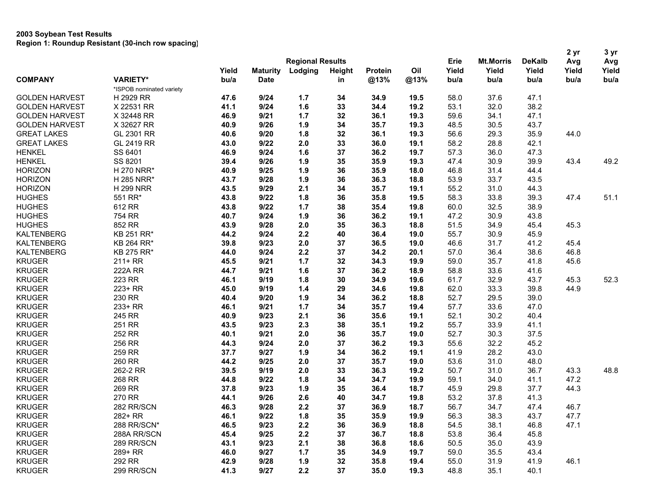| <b>Regional Results</b><br>Erie<br><b>Mt.Morris</b><br><b>DeKalb</b><br>Avg<br>Avg<br>Oil<br>Yield<br>Yield<br>Yield<br>Yield<br>Yield<br><b>Maturity</b><br>Lodging<br><b>Protein</b><br>Yield<br>Height<br><b>COMPANY</b><br><b>VARIETY*</b><br>bu/a<br>@13%<br>@13%<br>bu/a<br><b>Date</b><br>bu/a<br>bu/a<br>bu/a<br>bu/a<br>in<br>*ISPOB nominated variety<br>H 2929 RR<br>9/24<br>58.0<br>37.6<br>47.1<br><b>GOLDEN HARVEST</b><br>47.6<br>1.7<br>34<br>34.9<br>19.5<br>38.2<br>X 22531 RR<br>41.1<br>9/24<br>1.6<br>33<br>34.4<br>19.2<br>53.1<br>32.0<br><b>GOLDEN HARVEST</b><br>34.1<br>47.1<br>X 32448 RR<br>46.9<br>9/21<br>1.7<br>32<br>36.1<br>19.3<br>59.6<br><b>GOLDEN HARVEST</b><br>X 32627 RR<br>30.5<br>43.7<br>9/26<br>1.9<br>34<br>35.7<br>19.3<br>48.5<br><b>GOLDEN HARVEST</b><br>40.9<br>GL 2301 RR<br>9/20<br>1.8<br>32<br>36.1<br>56.6<br>29.3<br>35.9<br>44.0<br><b>GREAT LAKES</b><br>40.6<br>19.3<br><b>GREAT LAKES</b><br>GL 2419 RR<br>9/22<br>2.0<br>33<br>58.2<br>28.8<br>42.1<br>43.0<br>36.0<br>19.1<br><b>HENKEL</b><br>SS 6401<br>9/24<br>1.6<br>37<br>57.3<br>36.0<br>47.3<br>46.9<br>36.2<br>19.7<br>49.2<br><b>HENKEL</b><br>SS 8201<br>9/26<br>1.9<br>35<br>30.9<br>39.9<br>43.4<br>39.4<br>35.9<br>19.3<br>47.4<br><b>HORIZON</b><br>1.9<br>36<br>46.8<br>31.4<br>H 270 NRR*<br>40.9<br>9/25<br>35.9<br>18.0<br>44.4<br>33.7<br><b>HORIZON</b><br>43.7<br>9/28<br>1.9<br>36<br>18.8<br>53.9<br>43.5<br>H 285 NRR*<br>36.3<br>55.2<br>31.0<br><b>HORIZON</b><br><b>H 299 NRR</b><br>43.5<br>9/29<br>2.1<br>34<br>35.7<br>19.1<br>44.3<br>551 RR*<br>1.8<br>33.8<br>47.4<br>51.1<br><b>HUGHES</b><br>43.8<br>9/22<br>36<br>35.8<br>58.3<br>39.3<br>19.5<br><b>HUGHES</b><br>612 RR<br>43.8<br>9/22<br>1.7<br>38<br>35.4<br>19.8<br>60.0<br>32.5<br>38.9<br>30.9<br>754 RR<br>9/24<br>1.9<br>36<br>36.2<br>19.1<br>47.2<br>43.8<br>40.7<br>852 RR<br>9/28<br>2.0<br>35<br>36.3<br>51.5<br>34.9<br>45.3<br>43.9<br>18.8<br>45.4<br>KB 251 RR*<br>9/24<br>2.2<br>55.7<br>30.9<br>45.9<br>44.2<br>40<br>36.4<br>19.0<br>31.7<br>41.2<br>KB 264 RR*<br>39.8<br>9/23<br>2.0<br>37<br>36.5<br>19.0<br>46.6<br>45.4<br>2.2<br>36.4<br>46.8<br>KB 275 RR*<br>9/24<br>37<br>34.2<br>20.1<br>57.0<br>38.6<br>44.0<br>1.7<br>$211+RR$<br>9/21<br>32<br>34.3<br>59.0<br>35.7<br>41.8<br>45.6<br>45.5<br>19.9<br><b>222A RR</b><br>9/21<br>1.6<br>37<br>36.2<br>18.9<br>58.8<br>33.6<br>41.6<br>44.7<br>52.3<br>223 RR<br>9/19<br>1.8<br>30<br>34.9<br>19.6<br>61.7<br>32.9<br>43.7<br>45.3<br>46.1<br>33.3<br>223+ RR<br>1.4<br>29<br>19.8<br>62.0<br>39.8<br>44.9<br>45.0<br>9/19<br>34.6<br>230 RR<br>1.9<br>34<br>52.7<br>29.5<br>39.0<br>40.4<br>9/20<br>36.2<br>18.8<br>233+ RR<br>9/21<br>1.7<br>57.7<br>33.6<br>47.0<br>46.1<br>34<br>35.7<br>19.4<br>52.1<br>30.2<br>245 RR<br>9/23<br>2.1<br>36<br>35.6<br>19.1<br>40.4<br>40.9<br>33.9<br>41.1<br>251 RR<br>43.5<br>9/23<br>2.3<br>38<br>35.1<br>19.2<br>55.7<br>252 RR<br>9/21<br>2.0<br>36<br>35.7<br>19.0<br>52.7<br>30.3<br>37.5<br>40.1<br>45.2<br>256 RR<br>44.3<br>9/24<br>2.0<br>37<br>36.2<br>19.3<br>55.6<br>32.2<br>28.2<br>259 RR<br>37.7<br>9/27<br>1.9<br>34<br>36.2<br>19.1<br>41.9<br>43.0<br>260 RR<br>2.0<br>53.6<br>31.0<br>48.0<br>44.2<br>9/25<br>37<br>35.7<br>19.0<br>31.0<br>262-2 RR<br>39.5<br>9/19<br>2.0<br>33<br>36.3<br>19.2<br>50.7<br>36.7<br>43.3<br>48.8<br>1.8<br>268 RR<br>9/22<br>34<br>34.7<br>19.9<br>59.1<br>34.0<br>41.1<br>47.2<br>44.8<br>44.3<br>269 RR<br>9/23<br>1.9<br>35<br>36.4<br>45.9<br>29.8<br>37.7<br>37.8<br>18.7<br>270 RR<br>9/26<br>2.6<br>53.2<br>37.8<br>41.3<br>44.1<br>40<br>34.7<br>19.8<br><b>KRUGER</b><br>9/28<br>2.2<br>36.9<br>34.7<br>46.7<br>282 RR/SCN<br>46.3<br>37<br>18.7<br>56.7<br>47.4<br><b>KRUGER</b><br>282+ RR<br>46.1<br>9/22<br>1.8<br>35.9<br>19.9<br>56.3<br>38.3<br>43.7<br>47.7<br>35<br><b>KRUGER</b><br>47.1<br>288 RR/SCN*<br>46.5<br>9/23<br>2.2<br>36<br>36.9<br>18.8<br>54.5<br>38.1<br>46.8<br><b>KRUGER</b><br>2.2<br>53.8<br>36.4<br>45.8<br>288A RR/SCN<br>45.4<br>9/25<br>37<br>36.7<br>18.8<br><b>KRUGER</b><br>43.1<br>2.1<br>50.5<br>35.0<br>43.9<br>289 RR/SCN<br>9/23<br>38<br>36.8<br>18.6<br>59.0<br>35.5<br><b>KRUGER</b><br>289+ RR<br>46.0<br>9/27<br>1.7<br>35<br>34.9<br>19.7<br>43.4<br><b>KRUGER</b><br>292 RR<br>55.0<br>31.9<br>41.9<br>46.1<br>42.9<br>9/28<br>1.9<br>32<br>35.8<br>19.4<br><b>KRUGER</b><br>299 RR/SCN<br>41.3<br>9/27<br>2.2<br>37<br>35.0<br>19.3<br>48.8<br>35.1<br>40.1 |                   |  |  |  |  |  |  | 2 yr | 3 yr |
|-------------------------------------------------------------------------------------------------------------------------------------------------------------------------------------------------------------------------------------------------------------------------------------------------------------------------------------------------------------------------------------------------------------------------------------------------------------------------------------------------------------------------------------------------------------------------------------------------------------------------------------------------------------------------------------------------------------------------------------------------------------------------------------------------------------------------------------------------------------------------------------------------------------------------------------------------------------------------------------------------------------------------------------------------------------------------------------------------------------------------------------------------------------------------------------------------------------------------------------------------------------------------------------------------------------------------------------------------------------------------------------------------------------------------------------------------------------------------------------------------------------------------------------------------------------------------------------------------------------------------------------------------------------------------------------------------------------------------------------------------------------------------------------------------------------------------------------------------------------------------------------------------------------------------------------------------------------------------------------------------------------------------------------------------------------------------------------------------------------------------------------------------------------------------------------------------------------------------------------------------------------------------------------------------------------------------------------------------------------------------------------------------------------------------------------------------------------------------------------------------------------------------------------------------------------------------------------------------------------------------------------------------------------------------------------------------------------------------------------------------------------------------------------------------------------------------------------------------------------------------------------------------------------------------------------------------------------------------------------------------------------------------------------------------------------------------------------------------------------------------------------------------------------------------------------------------------------------------------------------------------------------------------------------------------------------------------------------------------------------------------------------------------------------------------------------------------------------------------------------------------------------------------------------------------------------------------------------------------------------------------------------------------------------------------------------------------------------------------------------------------------------------------------------------------------------------------------------------------------------------------------------------------------------------------------------------------------------------------------------------------------------------------------------------------------------------------------------------------------------------------------------------------------------------------------------------------------------------------------------------------------------------------------------------------------------------------------------------------------------------------------------------------------------------------------------------------------------------------------------------------|-------------------|--|--|--|--|--|--|------|------|
|                                                                                                                                                                                                                                                                                                                                                                                                                                                                                                                                                                                                                                                                                                                                                                                                                                                                                                                                                                                                                                                                                                                                                                                                                                                                                                                                                                                                                                                                                                                                                                                                                                                                                                                                                                                                                                                                                                                                                                                                                                                                                                                                                                                                                                                                                                                                                                                                                                                                                                                                                                                                                                                                                                                                                                                                                                                                                                                                                                                                                                                                                                                                                                                                                                                                                                                                                                                                                                                                                                                                                                                                                                                                                                                                                                                                                                                                                                                                                                                                                                                                                                                                                                                                                                                                                                                                                                                                                                                                                                       |                   |  |  |  |  |  |  |      |      |
|                                                                                                                                                                                                                                                                                                                                                                                                                                                                                                                                                                                                                                                                                                                                                                                                                                                                                                                                                                                                                                                                                                                                                                                                                                                                                                                                                                                                                                                                                                                                                                                                                                                                                                                                                                                                                                                                                                                                                                                                                                                                                                                                                                                                                                                                                                                                                                                                                                                                                                                                                                                                                                                                                                                                                                                                                                                                                                                                                                                                                                                                                                                                                                                                                                                                                                                                                                                                                                                                                                                                                                                                                                                                                                                                                                                                                                                                                                                                                                                                                                                                                                                                                                                                                                                                                                                                                                                                                                                                                                       |                   |  |  |  |  |  |  |      |      |
|                                                                                                                                                                                                                                                                                                                                                                                                                                                                                                                                                                                                                                                                                                                                                                                                                                                                                                                                                                                                                                                                                                                                                                                                                                                                                                                                                                                                                                                                                                                                                                                                                                                                                                                                                                                                                                                                                                                                                                                                                                                                                                                                                                                                                                                                                                                                                                                                                                                                                                                                                                                                                                                                                                                                                                                                                                                                                                                                                                                                                                                                                                                                                                                                                                                                                                                                                                                                                                                                                                                                                                                                                                                                                                                                                                                                                                                                                                                                                                                                                                                                                                                                                                                                                                                                                                                                                                                                                                                                                                       |                   |  |  |  |  |  |  |      |      |
|                                                                                                                                                                                                                                                                                                                                                                                                                                                                                                                                                                                                                                                                                                                                                                                                                                                                                                                                                                                                                                                                                                                                                                                                                                                                                                                                                                                                                                                                                                                                                                                                                                                                                                                                                                                                                                                                                                                                                                                                                                                                                                                                                                                                                                                                                                                                                                                                                                                                                                                                                                                                                                                                                                                                                                                                                                                                                                                                                                                                                                                                                                                                                                                                                                                                                                                                                                                                                                                                                                                                                                                                                                                                                                                                                                                                                                                                                                                                                                                                                                                                                                                                                                                                                                                                                                                                                                                                                                                                                                       |                   |  |  |  |  |  |  |      |      |
|                                                                                                                                                                                                                                                                                                                                                                                                                                                                                                                                                                                                                                                                                                                                                                                                                                                                                                                                                                                                                                                                                                                                                                                                                                                                                                                                                                                                                                                                                                                                                                                                                                                                                                                                                                                                                                                                                                                                                                                                                                                                                                                                                                                                                                                                                                                                                                                                                                                                                                                                                                                                                                                                                                                                                                                                                                                                                                                                                                                                                                                                                                                                                                                                                                                                                                                                                                                                                                                                                                                                                                                                                                                                                                                                                                                                                                                                                                                                                                                                                                                                                                                                                                                                                                                                                                                                                                                                                                                                                                       |                   |  |  |  |  |  |  |      |      |
|                                                                                                                                                                                                                                                                                                                                                                                                                                                                                                                                                                                                                                                                                                                                                                                                                                                                                                                                                                                                                                                                                                                                                                                                                                                                                                                                                                                                                                                                                                                                                                                                                                                                                                                                                                                                                                                                                                                                                                                                                                                                                                                                                                                                                                                                                                                                                                                                                                                                                                                                                                                                                                                                                                                                                                                                                                                                                                                                                                                                                                                                                                                                                                                                                                                                                                                                                                                                                                                                                                                                                                                                                                                                                                                                                                                                                                                                                                                                                                                                                                                                                                                                                                                                                                                                                                                                                                                                                                                                                                       |                   |  |  |  |  |  |  |      |      |
|                                                                                                                                                                                                                                                                                                                                                                                                                                                                                                                                                                                                                                                                                                                                                                                                                                                                                                                                                                                                                                                                                                                                                                                                                                                                                                                                                                                                                                                                                                                                                                                                                                                                                                                                                                                                                                                                                                                                                                                                                                                                                                                                                                                                                                                                                                                                                                                                                                                                                                                                                                                                                                                                                                                                                                                                                                                                                                                                                                                                                                                                                                                                                                                                                                                                                                                                                                                                                                                                                                                                                                                                                                                                                                                                                                                                                                                                                                                                                                                                                                                                                                                                                                                                                                                                                                                                                                                                                                                                                                       |                   |  |  |  |  |  |  |      |      |
|                                                                                                                                                                                                                                                                                                                                                                                                                                                                                                                                                                                                                                                                                                                                                                                                                                                                                                                                                                                                                                                                                                                                                                                                                                                                                                                                                                                                                                                                                                                                                                                                                                                                                                                                                                                                                                                                                                                                                                                                                                                                                                                                                                                                                                                                                                                                                                                                                                                                                                                                                                                                                                                                                                                                                                                                                                                                                                                                                                                                                                                                                                                                                                                                                                                                                                                                                                                                                                                                                                                                                                                                                                                                                                                                                                                                                                                                                                                                                                                                                                                                                                                                                                                                                                                                                                                                                                                                                                                                                                       |                   |  |  |  |  |  |  |      |      |
|                                                                                                                                                                                                                                                                                                                                                                                                                                                                                                                                                                                                                                                                                                                                                                                                                                                                                                                                                                                                                                                                                                                                                                                                                                                                                                                                                                                                                                                                                                                                                                                                                                                                                                                                                                                                                                                                                                                                                                                                                                                                                                                                                                                                                                                                                                                                                                                                                                                                                                                                                                                                                                                                                                                                                                                                                                                                                                                                                                                                                                                                                                                                                                                                                                                                                                                                                                                                                                                                                                                                                                                                                                                                                                                                                                                                                                                                                                                                                                                                                                                                                                                                                                                                                                                                                                                                                                                                                                                                                                       |                   |  |  |  |  |  |  |      |      |
|                                                                                                                                                                                                                                                                                                                                                                                                                                                                                                                                                                                                                                                                                                                                                                                                                                                                                                                                                                                                                                                                                                                                                                                                                                                                                                                                                                                                                                                                                                                                                                                                                                                                                                                                                                                                                                                                                                                                                                                                                                                                                                                                                                                                                                                                                                                                                                                                                                                                                                                                                                                                                                                                                                                                                                                                                                                                                                                                                                                                                                                                                                                                                                                                                                                                                                                                                                                                                                                                                                                                                                                                                                                                                                                                                                                                                                                                                                                                                                                                                                                                                                                                                                                                                                                                                                                                                                                                                                                                                                       |                   |  |  |  |  |  |  |      |      |
|                                                                                                                                                                                                                                                                                                                                                                                                                                                                                                                                                                                                                                                                                                                                                                                                                                                                                                                                                                                                                                                                                                                                                                                                                                                                                                                                                                                                                                                                                                                                                                                                                                                                                                                                                                                                                                                                                                                                                                                                                                                                                                                                                                                                                                                                                                                                                                                                                                                                                                                                                                                                                                                                                                                                                                                                                                                                                                                                                                                                                                                                                                                                                                                                                                                                                                                                                                                                                                                                                                                                                                                                                                                                                                                                                                                                                                                                                                                                                                                                                                                                                                                                                                                                                                                                                                                                                                                                                                                                                                       |                   |  |  |  |  |  |  |      |      |
|                                                                                                                                                                                                                                                                                                                                                                                                                                                                                                                                                                                                                                                                                                                                                                                                                                                                                                                                                                                                                                                                                                                                                                                                                                                                                                                                                                                                                                                                                                                                                                                                                                                                                                                                                                                                                                                                                                                                                                                                                                                                                                                                                                                                                                                                                                                                                                                                                                                                                                                                                                                                                                                                                                                                                                                                                                                                                                                                                                                                                                                                                                                                                                                                                                                                                                                                                                                                                                                                                                                                                                                                                                                                                                                                                                                                                                                                                                                                                                                                                                                                                                                                                                                                                                                                                                                                                                                                                                                                                                       |                   |  |  |  |  |  |  |      |      |
|                                                                                                                                                                                                                                                                                                                                                                                                                                                                                                                                                                                                                                                                                                                                                                                                                                                                                                                                                                                                                                                                                                                                                                                                                                                                                                                                                                                                                                                                                                                                                                                                                                                                                                                                                                                                                                                                                                                                                                                                                                                                                                                                                                                                                                                                                                                                                                                                                                                                                                                                                                                                                                                                                                                                                                                                                                                                                                                                                                                                                                                                                                                                                                                                                                                                                                                                                                                                                                                                                                                                                                                                                                                                                                                                                                                                                                                                                                                                                                                                                                                                                                                                                                                                                                                                                                                                                                                                                                                                                                       |                   |  |  |  |  |  |  |      |      |
|                                                                                                                                                                                                                                                                                                                                                                                                                                                                                                                                                                                                                                                                                                                                                                                                                                                                                                                                                                                                                                                                                                                                                                                                                                                                                                                                                                                                                                                                                                                                                                                                                                                                                                                                                                                                                                                                                                                                                                                                                                                                                                                                                                                                                                                                                                                                                                                                                                                                                                                                                                                                                                                                                                                                                                                                                                                                                                                                                                                                                                                                                                                                                                                                                                                                                                                                                                                                                                                                                                                                                                                                                                                                                                                                                                                                                                                                                                                                                                                                                                                                                                                                                                                                                                                                                                                                                                                                                                                                                                       |                   |  |  |  |  |  |  |      |      |
|                                                                                                                                                                                                                                                                                                                                                                                                                                                                                                                                                                                                                                                                                                                                                                                                                                                                                                                                                                                                                                                                                                                                                                                                                                                                                                                                                                                                                                                                                                                                                                                                                                                                                                                                                                                                                                                                                                                                                                                                                                                                                                                                                                                                                                                                                                                                                                                                                                                                                                                                                                                                                                                                                                                                                                                                                                                                                                                                                                                                                                                                                                                                                                                                                                                                                                                                                                                                                                                                                                                                                                                                                                                                                                                                                                                                                                                                                                                                                                                                                                                                                                                                                                                                                                                                                                                                                                                                                                                                                                       |                   |  |  |  |  |  |  |      |      |
|                                                                                                                                                                                                                                                                                                                                                                                                                                                                                                                                                                                                                                                                                                                                                                                                                                                                                                                                                                                                                                                                                                                                                                                                                                                                                                                                                                                                                                                                                                                                                                                                                                                                                                                                                                                                                                                                                                                                                                                                                                                                                                                                                                                                                                                                                                                                                                                                                                                                                                                                                                                                                                                                                                                                                                                                                                                                                                                                                                                                                                                                                                                                                                                                                                                                                                                                                                                                                                                                                                                                                                                                                                                                                                                                                                                                                                                                                                                                                                                                                                                                                                                                                                                                                                                                                                                                                                                                                                                                                                       |                   |  |  |  |  |  |  |      |      |
|                                                                                                                                                                                                                                                                                                                                                                                                                                                                                                                                                                                                                                                                                                                                                                                                                                                                                                                                                                                                                                                                                                                                                                                                                                                                                                                                                                                                                                                                                                                                                                                                                                                                                                                                                                                                                                                                                                                                                                                                                                                                                                                                                                                                                                                                                                                                                                                                                                                                                                                                                                                                                                                                                                                                                                                                                                                                                                                                                                                                                                                                                                                                                                                                                                                                                                                                                                                                                                                                                                                                                                                                                                                                                                                                                                                                                                                                                                                                                                                                                                                                                                                                                                                                                                                                                                                                                                                                                                                                                                       |                   |  |  |  |  |  |  |      |      |
|                                                                                                                                                                                                                                                                                                                                                                                                                                                                                                                                                                                                                                                                                                                                                                                                                                                                                                                                                                                                                                                                                                                                                                                                                                                                                                                                                                                                                                                                                                                                                                                                                                                                                                                                                                                                                                                                                                                                                                                                                                                                                                                                                                                                                                                                                                                                                                                                                                                                                                                                                                                                                                                                                                                                                                                                                                                                                                                                                                                                                                                                                                                                                                                                                                                                                                                                                                                                                                                                                                                                                                                                                                                                                                                                                                                                                                                                                                                                                                                                                                                                                                                                                                                                                                                                                                                                                                                                                                                                                                       | <b>HUGHES</b>     |  |  |  |  |  |  |      |      |
|                                                                                                                                                                                                                                                                                                                                                                                                                                                                                                                                                                                                                                                                                                                                                                                                                                                                                                                                                                                                                                                                                                                                                                                                                                                                                                                                                                                                                                                                                                                                                                                                                                                                                                                                                                                                                                                                                                                                                                                                                                                                                                                                                                                                                                                                                                                                                                                                                                                                                                                                                                                                                                                                                                                                                                                                                                                                                                                                                                                                                                                                                                                                                                                                                                                                                                                                                                                                                                                                                                                                                                                                                                                                                                                                                                                                                                                                                                                                                                                                                                                                                                                                                                                                                                                                                                                                                                                                                                                                                                       | <b>HUGHES</b>     |  |  |  |  |  |  |      |      |
|                                                                                                                                                                                                                                                                                                                                                                                                                                                                                                                                                                                                                                                                                                                                                                                                                                                                                                                                                                                                                                                                                                                                                                                                                                                                                                                                                                                                                                                                                                                                                                                                                                                                                                                                                                                                                                                                                                                                                                                                                                                                                                                                                                                                                                                                                                                                                                                                                                                                                                                                                                                                                                                                                                                                                                                                                                                                                                                                                                                                                                                                                                                                                                                                                                                                                                                                                                                                                                                                                                                                                                                                                                                                                                                                                                                                                                                                                                                                                                                                                                                                                                                                                                                                                                                                                                                                                                                                                                                                                                       | <b>KALTENBERG</b> |  |  |  |  |  |  |      |      |
|                                                                                                                                                                                                                                                                                                                                                                                                                                                                                                                                                                                                                                                                                                                                                                                                                                                                                                                                                                                                                                                                                                                                                                                                                                                                                                                                                                                                                                                                                                                                                                                                                                                                                                                                                                                                                                                                                                                                                                                                                                                                                                                                                                                                                                                                                                                                                                                                                                                                                                                                                                                                                                                                                                                                                                                                                                                                                                                                                                                                                                                                                                                                                                                                                                                                                                                                                                                                                                                                                                                                                                                                                                                                                                                                                                                                                                                                                                                                                                                                                                                                                                                                                                                                                                                                                                                                                                                                                                                                                                       | <b>KALTENBERG</b> |  |  |  |  |  |  |      |      |
|                                                                                                                                                                                                                                                                                                                                                                                                                                                                                                                                                                                                                                                                                                                                                                                                                                                                                                                                                                                                                                                                                                                                                                                                                                                                                                                                                                                                                                                                                                                                                                                                                                                                                                                                                                                                                                                                                                                                                                                                                                                                                                                                                                                                                                                                                                                                                                                                                                                                                                                                                                                                                                                                                                                                                                                                                                                                                                                                                                                                                                                                                                                                                                                                                                                                                                                                                                                                                                                                                                                                                                                                                                                                                                                                                                                                                                                                                                                                                                                                                                                                                                                                                                                                                                                                                                                                                                                                                                                                                                       | <b>KALTENBERG</b> |  |  |  |  |  |  |      |      |
|                                                                                                                                                                                                                                                                                                                                                                                                                                                                                                                                                                                                                                                                                                                                                                                                                                                                                                                                                                                                                                                                                                                                                                                                                                                                                                                                                                                                                                                                                                                                                                                                                                                                                                                                                                                                                                                                                                                                                                                                                                                                                                                                                                                                                                                                                                                                                                                                                                                                                                                                                                                                                                                                                                                                                                                                                                                                                                                                                                                                                                                                                                                                                                                                                                                                                                                                                                                                                                                                                                                                                                                                                                                                                                                                                                                                                                                                                                                                                                                                                                                                                                                                                                                                                                                                                                                                                                                                                                                                                                       | <b>KRUGER</b>     |  |  |  |  |  |  |      |      |
|                                                                                                                                                                                                                                                                                                                                                                                                                                                                                                                                                                                                                                                                                                                                                                                                                                                                                                                                                                                                                                                                                                                                                                                                                                                                                                                                                                                                                                                                                                                                                                                                                                                                                                                                                                                                                                                                                                                                                                                                                                                                                                                                                                                                                                                                                                                                                                                                                                                                                                                                                                                                                                                                                                                                                                                                                                                                                                                                                                                                                                                                                                                                                                                                                                                                                                                                                                                                                                                                                                                                                                                                                                                                                                                                                                                                                                                                                                                                                                                                                                                                                                                                                                                                                                                                                                                                                                                                                                                                                                       | <b>KRUGER</b>     |  |  |  |  |  |  |      |      |
|                                                                                                                                                                                                                                                                                                                                                                                                                                                                                                                                                                                                                                                                                                                                                                                                                                                                                                                                                                                                                                                                                                                                                                                                                                                                                                                                                                                                                                                                                                                                                                                                                                                                                                                                                                                                                                                                                                                                                                                                                                                                                                                                                                                                                                                                                                                                                                                                                                                                                                                                                                                                                                                                                                                                                                                                                                                                                                                                                                                                                                                                                                                                                                                                                                                                                                                                                                                                                                                                                                                                                                                                                                                                                                                                                                                                                                                                                                                                                                                                                                                                                                                                                                                                                                                                                                                                                                                                                                                                                                       | <b>KRUGER</b>     |  |  |  |  |  |  |      |      |
|                                                                                                                                                                                                                                                                                                                                                                                                                                                                                                                                                                                                                                                                                                                                                                                                                                                                                                                                                                                                                                                                                                                                                                                                                                                                                                                                                                                                                                                                                                                                                                                                                                                                                                                                                                                                                                                                                                                                                                                                                                                                                                                                                                                                                                                                                                                                                                                                                                                                                                                                                                                                                                                                                                                                                                                                                                                                                                                                                                                                                                                                                                                                                                                                                                                                                                                                                                                                                                                                                                                                                                                                                                                                                                                                                                                                                                                                                                                                                                                                                                                                                                                                                                                                                                                                                                                                                                                                                                                                                                       | <b>KRUGER</b>     |  |  |  |  |  |  |      |      |
|                                                                                                                                                                                                                                                                                                                                                                                                                                                                                                                                                                                                                                                                                                                                                                                                                                                                                                                                                                                                                                                                                                                                                                                                                                                                                                                                                                                                                                                                                                                                                                                                                                                                                                                                                                                                                                                                                                                                                                                                                                                                                                                                                                                                                                                                                                                                                                                                                                                                                                                                                                                                                                                                                                                                                                                                                                                                                                                                                                                                                                                                                                                                                                                                                                                                                                                                                                                                                                                                                                                                                                                                                                                                                                                                                                                                                                                                                                                                                                                                                                                                                                                                                                                                                                                                                                                                                                                                                                                                                                       | <b>KRUGER</b>     |  |  |  |  |  |  |      |      |
|                                                                                                                                                                                                                                                                                                                                                                                                                                                                                                                                                                                                                                                                                                                                                                                                                                                                                                                                                                                                                                                                                                                                                                                                                                                                                                                                                                                                                                                                                                                                                                                                                                                                                                                                                                                                                                                                                                                                                                                                                                                                                                                                                                                                                                                                                                                                                                                                                                                                                                                                                                                                                                                                                                                                                                                                                                                                                                                                                                                                                                                                                                                                                                                                                                                                                                                                                                                                                                                                                                                                                                                                                                                                                                                                                                                                                                                                                                                                                                                                                                                                                                                                                                                                                                                                                                                                                                                                                                                                                                       | <b>KRUGER</b>     |  |  |  |  |  |  |      |      |
|                                                                                                                                                                                                                                                                                                                                                                                                                                                                                                                                                                                                                                                                                                                                                                                                                                                                                                                                                                                                                                                                                                                                                                                                                                                                                                                                                                                                                                                                                                                                                                                                                                                                                                                                                                                                                                                                                                                                                                                                                                                                                                                                                                                                                                                                                                                                                                                                                                                                                                                                                                                                                                                                                                                                                                                                                                                                                                                                                                                                                                                                                                                                                                                                                                                                                                                                                                                                                                                                                                                                                                                                                                                                                                                                                                                                                                                                                                                                                                                                                                                                                                                                                                                                                                                                                                                                                                                                                                                                                                       | <b>KRUGER</b>     |  |  |  |  |  |  |      |      |
|                                                                                                                                                                                                                                                                                                                                                                                                                                                                                                                                                                                                                                                                                                                                                                                                                                                                                                                                                                                                                                                                                                                                                                                                                                                                                                                                                                                                                                                                                                                                                                                                                                                                                                                                                                                                                                                                                                                                                                                                                                                                                                                                                                                                                                                                                                                                                                                                                                                                                                                                                                                                                                                                                                                                                                                                                                                                                                                                                                                                                                                                                                                                                                                                                                                                                                                                                                                                                                                                                                                                                                                                                                                                                                                                                                                                                                                                                                                                                                                                                                                                                                                                                                                                                                                                                                                                                                                                                                                                                                       | <b>KRUGER</b>     |  |  |  |  |  |  |      |      |
|                                                                                                                                                                                                                                                                                                                                                                                                                                                                                                                                                                                                                                                                                                                                                                                                                                                                                                                                                                                                                                                                                                                                                                                                                                                                                                                                                                                                                                                                                                                                                                                                                                                                                                                                                                                                                                                                                                                                                                                                                                                                                                                                                                                                                                                                                                                                                                                                                                                                                                                                                                                                                                                                                                                                                                                                                                                                                                                                                                                                                                                                                                                                                                                                                                                                                                                                                                                                                                                                                                                                                                                                                                                                                                                                                                                                                                                                                                                                                                                                                                                                                                                                                                                                                                                                                                                                                                                                                                                                                                       | <b>KRUGER</b>     |  |  |  |  |  |  |      |      |
|                                                                                                                                                                                                                                                                                                                                                                                                                                                                                                                                                                                                                                                                                                                                                                                                                                                                                                                                                                                                                                                                                                                                                                                                                                                                                                                                                                                                                                                                                                                                                                                                                                                                                                                                                                                                                                                                                                                                                                                                                                                                                                                                                                                                                                                                                                                                                                                                                                                                                                                                                                                                                                                                                                                                                                                                                                                                                                                                                                                                                                                                                                                                                                                                                                                                                                                                                                                                                                                                                                                                                                                                                                                                                                                                                                                                                                                                                                                                                                                                                                                                                                                                                                                                                                                                                                                                                                                                                                                                                                       | <b>KRUGER</b>     |  |  |  |  |  |  |      |      |
|                                                                                                                                                                                                                                                                                                                                                                                                                                                                                                                                                                                                                                                                                                                                                                                                                                                                                                                                                                                                                                                                                                                                                                                                                                                                                                                                                                                                                                                                                                                                                                                                                                                                                                                                                                                                                                                                                                                                                                                                                                                                                                                                                                                                                                                                                                                                                                                                                                                                                                                                                                                                                                                                                                                                                                                                                                                                                                                                                                                                                                                                                                                                                                                                                                                                                                                                                                                                                                                                                                                                                                                                                                                                                                                                                                                                                                                                                                                                                                                                                                                                                                                                                                                                                                                                                                                                                                                                                                                                                                       | <b>KRUGER</b>     |  |  |  |  |  |  |      |      |
|                                                                                                                                                                                                                                                                                                                                                                                                                                                                                                                                                                                                                                                                                                                                                                                                                                                                                                                                                                                                                                                                                                                                                                                                                                                                                                                                                                                                                                                                                                                                                                                                                                                                                                                                                                                                                                                                                                                                                                                                                                                                                                                                                                                                                                                                                                                                                                                                                                                                                                                                                                                                                                                                                                                                                                                                                                                                                                                                                                                                                                                                                                                                                                                                                                                                                                                                                                                                                                                                                                                                                                                                                                                                                                                                                                                                                                                                                                                                                                                                                                                                                                                                                                                                                                                                                                                                                                                                                                                                                                       | <b>KRUGER</b>     |  |  |  |  |  |  |      |      |
|                                                                                                                                                                                                                                                                                                                                                                                                                                                                                                                                                                                                                                                                                                                                                                                                                                                                                                                                                                                                                                                                                                                                                                                                                                                                                                                                                                                                                                                                                                                                                                                                                                                                                                                                                                                                                                                                                                                                                                                                                                                                                                                                                                                                                                                                                                                                                                                                                                                                                                                                                                                                                                                                                                                                                                                                                                                                                                                                                                                                                                                                                                                                                                                                                                                                                                                                                                                                                                                                                                                                                                                                                                                                                                                                                                                                                                                                                                                                                                                                                                                                                                                                                                                                                                                                                                                                                                                                                                                                                                       | <b>KRUGER</b>     |  |  |  |  |  |  |      |      |
|                                                                                                                                                                                                                                                                                                                                                                                                                                                                                                                                                                                                                                                                                                                                                                                                                                                                                                                                                                                                                                                                                                                                                                                                                                                                                                                                                                                                                                                                                                                                                                                                                                                                                                                                                                                                                                                                                                                                                                                                                                                                                                                                                                                                                                                                                                                                                                                                                                                                                                                                                                                                                                                                                                                                                                                                                                                                                                                                                                                                                                                                                                                                                                                                                                                                                                                                                                                                                                                                                                                                                                                                                                                                                                                                                                                                                                                                                                                                                                                                                                                                                                                                                                                                                                                                                                                                                                                                                                                                                                       | <b>KRUGER</b>     |  |  |  |  |  |  |      |      |
|                                                                                                                                                                                                                                                                                                                                                                                                                                                                                                                                                                                                                                                                                                                                                                                                                                                                                                                                                                                                                                                                                                                                                                                                                                                                                                                                                                                                                                                                                                                                                                                                                                                                                                                                                                                                                                                                                                                                                                                                                                                                                                                                                                                                                                                                                                                                                                                                                                                                                                                                                                                                                                                                                                                                                                                                                                                                                                                                                                                                                                                                                                                                                                                                                                                                                                                                                                                                                                                                                                                                                                                                                                                                                                                                                                                                                                                                                                                                                                                                                                                                                                                                                                                                                                                                                                                                                                                                                                                                                                       | <b>KRUGER</b>     |  |  |  |  |  |  |      |      |
|                                                                                                                                                                                                                                                                                                                                                                                                                                                                                                                                                                                                                                                                                                                                                                                                                                                                                                                                                                                                                                                                                                                                                                                                                                                                                                                                                                                                                                                                                                                                                                                                                                                                                                                                                                                                                                                                                                                                                                                                                                                                                                                                                                                                                                                                                                                                                                                                                                                                                                                                                                                                                                                                                                                                                                                                                                                                                                                                                                                                                                                                                                                                                                                                                                                                                                                                                                                                                                                                                                                                                                                                                                                                                                                                                                                                                                                                                                                                                                                                                                                                                                                                                                                                                                                                                                                                                                                                                                                                                                       | <b>KRUGER</b>     |  |  |  |  |  |  |      |      |
|                                                                                                                                                                                                                                                                                                                                                                                                                                                                                                                                                                                                                                                                                                                                                                                                                                                                                                                                                                                                                                                                                                                                                                                                                                                                                                                                                                                                                                                                                                                                                                                                                                                                                                                                                                                                                                                                                                                                                                                                                                                                                                                                                                                                                                                                                                                                                                                                                                                                                                                                                                                                                                                                                                                                                                                                                                                                                                                                                                                                                                                                                                                                                                                                                                                                                                                                                                                                                                                                                                                                                                                                                                                                                                                                                                                                                                                                                                                                                                                                                                                                                                                                                                                                                                                                                                                                                                                                                                                                                                       |                   |  |  |  |  |  |  |      |      |
|                                                                                                                                                                                                                                                                                                                                                                                                                                                                                                                                                                                                                                                                                                                                                                                                                                                                                                                                                                                                                                                                                                                                                                                                                                                                                                                                                                                                                                                                                                                                                                                                                                                                                                                                                                                                                                                                                                                                                                                                                                                                                                                                                                                                                                                                                                                                                                                                                                                                                                                                                                                                                                                                                                                                                                                                                                                                                                                                                                                                                                                                                                                                                                                                                                                                                                                                                                                                                                                                                                                                                                                                                                                                                                                                                                                                                                                                                                                                                                                                                                                                                                                                                                                                                                                                                                                                                                                                                                                                                                       |                   |  |  |  |  |  |  |      |      |
|                                                                                                                                                                                                                                                                                                                                                                                                                                                                                                                                                                                                                                                                                                                                                                                                                                                                                                                                                                                                                                                                                                                                                                                                                                                                                                                                                                                                                                                                                                                                                                                                                                                                                                                                                                                                                                                                                                                                                                                                                                                                                                                                                                                                                                                                                                                                                                                                                                                                                                                                                                                                                                                                                                                                                                                                                                                                                                                                                                                                                                                                                                                                                                                                                                                                                                                                                                                                                                                                                                                                                                                                                                                                                                                                                                                                                                                                                                                                                                                                                                                                                                                                                                                                                                                                                                                                                                                                                                                                                                       |                   |  |  |  |  |  |  |      |      |
|                                                                                                                                                                                                                                                                                                                                                                                                                                                                                                                                                                                                                                                                                                                                                                                                                                                                                                                                                                                                                                                                                                                                                                                                                                                                                                                                                                                                                                                                                                                                                                                                                                                                                                                                                                                                                                                                                                                                                                                                                                                                                                                                                                                                                                                                                                                                                                                                                                                                                                                                                                                                                                                                                                                                                                                                                                                                                                                                                                                                                                                                                                                                                                                                                                                                                                                                                                                                                                                                                                                                                                                                                                                                                                                                                                                                                                                                                                                                                                                                                                                                                                                                                                                                                                                                                                                                                                                                                                                                                                       |                   |  |  |  |  |  |  |      |      |
|                                                                                                                                                                                                                                                                                                                                                                                                                                                                                                                                                                                                                                                                                                                                                                                                                                                                                                                                                                                                                                                                                                                                                                                                                                                                                                                                                                                                                                                                                                                                                                                                                                                                                                                                                                                                                                                                                                                                                                                                                                                                                                                                                                                                                                                                                                                                                                                                                                                                                                                                                                                                                                                                                                                                                                                                                                                                                                                                                                                                                                                                                                                                                                                                                                                                                                                                                                                                                                                                                                                                                                                                                                                                                                                                                                                                                                                                                                                                                                                                                                                                                                                                                                                                                                                                                                                                                                                                                                                                                                       |                   |  |  |  |  |  |  |      |      |
|                                                                                                                                                                                                                                                                                                                                                                                                                                                                                                                                                                                                                                                                                                                                                                                                                                                                                                                                                                                                                                                                                                                                                                                                                                                                                                                                                                                                                                                                                                                                                                                                                                                                                                                                                                                                                                                                                                                                                                                                                                                                                                                                                                                                                                                                                                                                                                                                                                                                                                                                                                                                                                                                                                                                                                                                                                                                                                                                                                                                                                                                                                                                                                                                                                                                                                                                                                                                                                                                                                                                                                                                                                                                                                                                                                                                                                                                                                                                                                                                                                                                                                                                                                                                                                                                                                                                                                                                                                                                                                       |                   |  |  |  |  |  |  |      |      |
|                                                                                                                                                                                                                                                                                                                                                                                                                                                                                                                                                                                                                                                                                                                                                                                                                                                                                                                                                                                                                                                                                                                                                                                                                                                                                                                                                                                                                                                                                                                                                                                                                                                                                                                                                                                                                                                                                                                                                                                                                                                                                                                                                                                                                                                                                                                                                                                                                                                                                                                                                                                                                                                                                                                                                                                                                                                                                                                                                                                                                                                                                                                                                                                                                                                                                                                                                                                                                                                                                                                                                                                                                                                                                                                                                                                                                                                                                                                                                                                                                                                                                                                                                                                                                                                                                                                                                                                                                                                                                                       |                   |  |  |  |  |  |  |      |      |
|                                                                                                                                                                                                                                                                                                                                                                                                                                                                                                                                                                                                                                                                                                                                                                                                                                                                                                                                                                                                                                                                                                                                                                                                                                                                                                                                                                                                                                                                                                                                                                                                                                                                                                                                                                                                                                                                                                                                                                                                                                                                                                                                                                                                                                                                                                                                                                                                                                                                                                                                                                                                                                                                                                                                                                                                                                                                                                                                                                                                                                                                                                                                                                                                                                                                                                                                                                                                                                                                                                                                                                                                                                                                                                                                                                                                                                                                                                                                                                                                                                                                                                                                                                                                                                                                                                                                                                                                                                                                                                       |                   |  |  |  |  |  |  |      |      |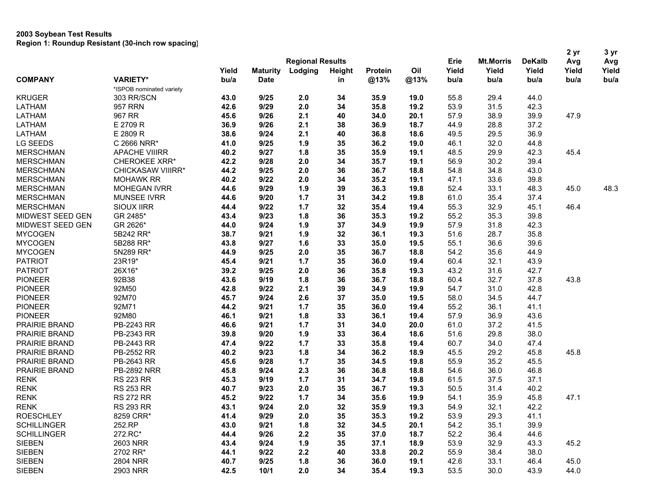|                    |                          |       |                 |                         |        |                 |             |               |                  |               | 2 <sub>yr</sub> | 3 yr<br>Avg |
|--------------------|--------------------------|-------|-----------------|-------------------------|--------|-----------------|-------------|---------------|------------------|---------------|-----------------|-------------|
|                    |                          |       |                 | <b>Regional Results</b> |        |                 |             | Erie          | <b>Mt.Morris</b> | <b>DeKalb</b> | Avg             |             |
| <b>COMPANY</b>     |                          | Yield | <b>Maturity</b> | Lodging                 | Height | Protein<br>@13% | Oil<br>@13% | Yield<br>bu/a | Yield            | Yield         | Yield           | Yield       |
|                    | <b>VARIETY*</b>          | bu/a  | <b>Date</b>     |                         | in     |                 |             |               | bu/a             | bu/a          | bu/a            | bu/a        |
|                    | *ISPOB nominated variety |       |                 |                         |        |                 |             |               |                  |               |                 |             |
| <b>KRUGER</b>      | 303 RR/SCN               | 43.0  | 9/25            | 2.0                     | 34     | 35.9            | 19.0        | 55.8          | 29.4             | 44.0          |                 |             |
| LATHAM             | <b>957 RRN</b>           | 42.6  | 9/29            | 2.0                     | 34     | 35.8            | 19.2        | 53.9          | 31.5             | 42.3          |                 |             |
| <b>LATHAM</b>      | 967 RR                   | 45.6  | 9/26            | 2.1                     | 40     | 34.0            | 20.1        | 57.9          | 38.9             | 39.9          | 47.9            |             |
| LATHAM             | E 2709 R                 | 36.9  | 9/26            | 2.1                     | 38     | 36.9            | 18.7        | 44.9          | 28.8             | 37.2          |                 |             |
| LATHAM             | E 2809 R                 | 38.6  | 9/24            | 2.1                     | 40     | 36.8            | 18.6        | 49.5          | 29.5             | 36.9          |                 |             |
| LG SEEDS           | C 2666 NRR*              | 41.0  | 9/25            | 1.9                     | 35     | 36.2            | 19.0        | 46.1          | 32.0             | 44.8          |                 |             |
| <b>MERSCHMAN</b>   | <b>APACHE VIIIRR</b>     | 40.2  | 9/27            | 1.8                     | 35     | 35.9            | 19.1        | 48.5          | 29.9             | 42.3          | 45.4            |             |
| <b>MERSCHMAN</b>   | <b>CHEROKEE XRR*</b>     | 42.2  | 9/28            | 2.0                     | 34     | 35.7            | 19.1        | 56.9          | 30.2             | 39.4          |                 |             |
| <b>MERSCHMAN</b>   | CHICKASAW VIIIRR*        | 44.2  | 9/25            | 2.0                     | 36     | 36.7            | 18.8        | 54.8          | 34.8             | 43.0          |                 |             |
| <b>MERSCHMAN</b>   | <b>MOHAWK RR</b>         | 40.2  | 9/22            | 2.0                     | 34     | 35.2            | 19.1        | 47.1          | 33.6             | 39.8          |                 |             |
| <b>MERSCHMAN</b>   | <b>MOHEGAN IVRR</b>      | 44.6  | 9/29            | 1.9                     | 39     | 36.3            | 19.8        | 52.4          | 33.1             | 48.3          | 45.0            | 48.3        |
| <b>MERSCHMAN</b>   | <b>MUNSEE IVRR</b>       | 44.6  | 9/20            | 1.7                     | 31     | 34.2            | 19.8        | 61.0          | 35.4             | 37.4          |                 |             |
| <b>MERSCHMAN</b>   | <b>SIOUX IIRR</b>        | 44.4  | 9/22            | 1.7                     | 32     | 35.4            | 19.4        | 55.3          | 32.9             | 45.1          | 46.4            |             |
| MIDWEST SEED GEN   | GR 2485*                 | 43.4  | 9/23            | 1.8                     | 36     | 35.3            | 19.2        | 55.2          | 35.3             | 39.8          |                 |             |
| MIDWEST SEED GEN   | GR 2626*                 | 44.0  | 9/24            | 1.9                     | 37     | 34.9            | 19.9        | 57.9          | 31.8             | 42.3          |                 |             |
| <b>MYCOGEN</b>     | 5B242 RR*                | 38.7  | 9/21            | 1.9                     | 32     | 36.1            | 19.3        | 51.6          | 28.7             | 35.8          |                 |             |
| <b>MYCOGEN</b>     | 5B288 RR*                | 43.8  | 9/27            | 1.6                     | 33     | 35.0            | 19.5        | 55.1          | 36.6             | 39.6          |                 |             |
| <b>MYCOGEN</b>     | 5N289 RR*                | 44.9  | 9/25            | 2.0                     | 35     | 36.7            | 18.8        | 54.2          | 35.6             | 44.9          |                 |             |
| <b>PATRIOT</b>     | 23R19*                   | 45.4  | 9/21            | 1.7                     | 35     | 36.0            | 19.4        | 60.4          | 32.1             | 43.9          |                 |             |
| <b>PATRIOT</b>     | 26X16*                   | 39.2  | 9/25            | 2.0                     | 36     | 35.8            | 19.3        | 43.2          | 31.6             | 42.7          |                 |             |
| <b>PIONEER</b>     | 92B38                    | 43.6  | 9/19            | 1.8                     | 36     | 36.7            | 18.8        | 60.4          | 32.7             | 37.8          | 43.8            |             |
| <b>PIONEER</b>     | 92M50                    | 42.8  | 9/22            | 2.1                     | 39     | 34.9            | 19.9        | 54.7          | 31.0             | 42.8          |                 |             |
| <b>PIONEER</b>     | 92M70                    | 45.7  | 9/24            | 2.6                     | 37     | 35.0            | 19.5        | 58.0          | 34.5             | 44.7          |                 |             |
| <b>PIONEER</b>     | 92M71                    | 44.2  | 9/21            | 1.7                     | 35     | 36.0            | 19.4        | 55.2          | 36.1             | 41.1          |                 |             |
| <b>PIONEER</b>     | 92M80                    | 46.1  | 9/21            | 1.8                     | 33     | 36.1            | 19.4        | 57.9          | 36.9             | 43.6          |                 |             |
| PRAIRIE BRAND      | PB-2243 RR               | 46.6  | 9/21            | 1.7                     | 31     | 34.0            | 20.0        | 61.0          | 37.2             | 41.5          |                 |             |
| PRAIRIE BRAND      | PB-2343 RR               | 39.8  | 9/20            | 1.9                     | 33     | 36.4            | 18.6        | 51.6          | 29.8             | 38.0          |                 |             |
| PRAIRIE BRAND      | PB-2443 RR               | 47.4  | 9/22            | 1.7                     | 33     | 35.8            | 19.4        | 60.7          | 34.0             | 47.4          |                 |             |
| PRAIRIE BRAND      | PB-2552 RR               | 40.2  | 9/23            | 1.8                     | 34     | 36.2            | 18.9        | 45.5          | 29.2             | 45.8          | 45.8            |             |
| PRAIRIE BRAND      | PB-2643 RR               | 45.6  | 9/28            | 1.7                     | 35     | 34.5            | 19.8        | 55.9          | 35.2             | 45.5          |                 |             |
| PRAIRIE BRAND      | <b>PB-2892 NRR</b>       | 45.8  | 9/24            | 2.3                     | 36     | 36.8            | 18.8        | 54.6          | 36.0             | 46.8          |                 |             |
| <b>RENK</b>        | <b>RS 223 RR</b>         | 45.3  | 9/19            | 1.7                     | 31     | 34.7            | 19.8        | 61.5          | 37.5             | 37.1          |                 |             |
| <b>RENK</b>        | <b>RS 253 RR</b>         | 40.7  | 9/23            | 2.0                     | 35     | 36.7            | 19.3        | 50.5          | 31.4             | 40.2          |                 |             |
| <b>RENK</b>        | <b>RS 272 RR</b>         | 45.2  | 9/22            | 1.7                     | 34     | 35.6            | 19.9        | 54.1          | 35.9             | 45.8          | 47.1            |             |
| <b>RENK</b>        | <b>RS 293 RR</b>         | 43.1  | 9/24            | 2.0                     | 32     | 35.9            | 19.3        | 54.9          | 32.1             | 42.2          |                 |             |
| <b>ROESCHLEY</b>   | 8259 CRR*                | 41.4  | 9/29            | 2.0                     | 35     | 35.3            | 19.2        | 53.9          | 29.3             | 41.1          |                 |             |
| <b>SCHILLINGER</b> | 252.RP                   | 43.0  | 9/21            | 1.8                     | 32     | 34.5            | 20.1        | 54.2          | 35.1             | 39.9          |                 |             |
| <b>SCHILLINGER</b> | 272.RC*                  | 44.4  | 9/26            | 2.2                     | 35     | 37.0            | 18.7        | 52.2          | 36.4             | 44.6          |                 |             |
| <b>SIEBEN</b>      | 2603 NRR                 | 43.4  | 9/24            | 1.9                     | 35     | 37.1            | 18.9        | 53.9          | 32.9             | 43.3          | 45.2            |             |
| <b>SIEBEN</b>      | 2702 RR*                 | 44.1  | 9/22            | 2.2                     | 40     | 33.8            | 20.2        | 55.9          | 38.4             | 38.0          |                 |             |
| <b>SIEBEN</b>      | <b>2804 NRR</b>          | 40.7  | 9/25            | 1.8                     | 36     | 36.0            | 19.1        | 42.6          | 33.1             | 46.4          | 45.0            |             |
| <b>SIEBEN</b>      | 2903 NRR                 | 42.5  | 10/1            | 2.0                     | 34     | 35.4            | 19.3        | 53.5          | 30.0             | 43.9          | 44.0            |             |
|                    |                          |       |                 |                         |        |                 |             |               |                  |               |                 |             |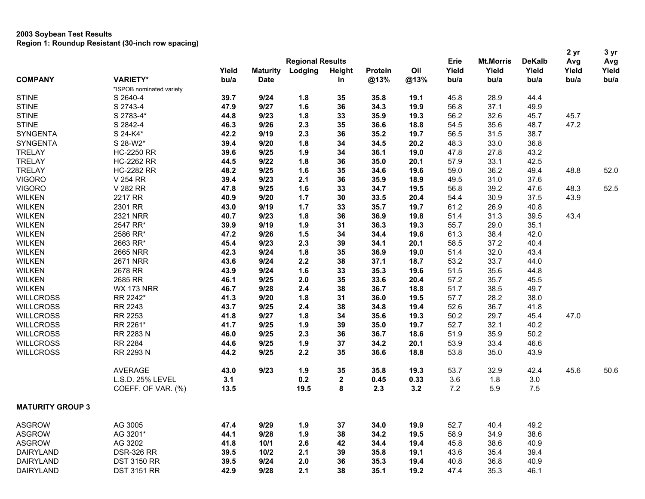| <b>Regional Results</b><br>Erie<br><b>Mt.Morris</b><br><b>DeKalb</b><br>Avg<br>Avg<br>Oil<br>Yield<br>Yield<br><b>Maturity</b><br>Lodging<br>Height<br>Protein<br>Yield<br>Yield<br>Yield<br>Yield<br><b>VARIETY*</b><br><b>COMPANY</b><br>bu/a<br>@13%<br><b>Date</b><br>@13%<br>bu/a<br>bu/a<br>bu/a<br>bu/a<br>bu/a<br>in<br>*ISPOB nominated variety<br><b>STINE</b><br>S 2640-4<br>9/24<br>1.8<br>35<br>35.8<br>45.8<br>28.9<br>44.4<br>39.7<br>19.1<br><b>STINE</b><br>S 2743-4<br>47.9<br>9/27<br>1.6<br>36<br>34.3<br>19.9<br>37.1<br>56.8<br>49.9<br><b>STINE</b><br>S 2783-4*<br>44.8<br>9/23<br>1.8<br>33<br>35.9<br>19.3<br>56.2<br>32.6<br>45.7<br>45.7<br>9/26<br>47.2<br><b>STINE</b><br>S 2842-4<br>46.3<br>2.3<br>35<br>36.6<br>18.8<br>54.5<br>35.6<br>48.7<br>S 24-K4*<br>9/19<br>2.3<br><b>SYNGENTA</b><br>42.2<br>36<br>35.2<br>19.7<br>56.5<br>31.5<br>38.7<br><b>SYNGENTA</b><br>S 28-W2*<br>39.4<br>9/20<br>1.8<br>33.0<br>36.8<br>34<br>34.5<br>20.2<br>48.3<br><b>HC-2250 RR</b><br>39.6<br>9/25<br>1.9<br>34<br>36.1<br>19.0<br>47.8<br>27.8<br>43.2<br>9/22<br>1.8<br><b>HC-2262 RR</b><br>44.5<br>36<br>35.0<br>20.1<br>57.9<br>33.1<br>42.5<br><b>HC-2282 RR</b><br>9/25<br>1.6<br>19.6<br>36.2<br>48.8<br>52.0<br>48.2<br>35<br>34.6<br>59.0<br>49.4<br>2.1<br>V 254 RR<br>39.4<br>9/23<br>36<br>35.9<br>49.5<br>31.0<br>37.6<br>18.9<br>52.5<br><b>VIGORO</b><br>V 282 RR<br>9/25<br>1.6<br>33<br>56.8<br>39.2<br>47.6<br>48.3<br>47.8<br>34.7<br>19.5<br>2217 RR<br>1.7<br><b>WILKEN</b><br>40.9<br>9/20<br>30<br>33.5<br>20.4<br>54.4<br>30.9<br>37.5<br>43.9<br>9/19<br>1.7<br>26.9<br><b>WILKEN</b><br>2301 RR<br>43.0<br>33<br>35.7<br>19.7<br>61.2<br>40.8<br><b>WILKEN</b><br><b>2321 NRR</b><br>9/23<br>1.8<br>36<br>36.9<br>31.3<br>39.5<br>43.4<br>40.7<br>19.8<br>51.4<br>9/19<br>29.0<br><b>WILKEN</b><br>2547 RR*<br>39.9<br>1.9<br>31<br>36.3<br>19.3<br>55.7<br>35.1<br><b>WILKEN</b><br>2586 RR*<br>9/26<br>1.5<br>34<br>34.4<br>19.6<br>61.3<br>38.4<br>42.0<br>47.2<br>9/23<br>2.3<br><b>WILKEN</b><br>2663 RR*<br>45.4<br>39<br>34.1<br>20.1<br>58.5<br>37.2<br>40.4<br>9/24<br>1.8<br>36.9<br>32.0<br>43.4<br><b>WILKEN</b><br><b>2665 NRR</b><br>42.3<br>35<br>19.0<br>51.4<br><b>WILKEN</b><br><b>2671 NRR</b><br>9/24<br>53.2<br>33.7<br>43.6<br>2.2<br>38<br>37.1<br>18.7<br>44.0<br>9/24<br>1.6<br>35.3<br>51.5<br>35.6<br><b>WILKEN</b><br>2678 RR<br>43.9<br>33<br>19.6<br>44.8<br>35.7<br><b>WILKEN</b><br>2685 RR<br>46.1<br>9/25<br>2.0<br>35<br>33.6<br>20.4<br>57.2<br>45.5<br><b>WILKEN</b><br><b>WX 173 NRR</b><br>9/28<br>2.4<br>38<br>38.5<br>46.7<br>36.7<br>18.8<br>51.7<br>49.7<br>RR 2242*<br>9/20<br>1.8<br>57.7<br>28.2<br>38.0<br><b>WILLCROSS</b><br>41.3<br>31<br>36.0<br>19.5<br><b>WILLCROSS</b><br>RR 2243<br>43.7<br>9/25<br>38<br>19.4<br>52.6<br>36.7<br>41.8<br>2.4<br>34.8<br>9/27<br>47.0<br><b>WILLCROSS</b><br>RR 2253<br>41.8<br>1.8<br>34<br>35.6<br>19.3<br>50.2<br>29.7<br>45.4<br>RR 2261*<br>32.1<br><b>WILLCROSS</b><br>41.7<br>9/25<br>1.9<br>39<br>35.0<br>19.7<br>52.7<br>40.2<br>RR 2283 N<br>2.3<br><b>WILLCROSS</b><br>46.0<br>9/25<br>36<br>36.7<br>18.6<br>51.9<br>35.9<br>50.2<br>RR 2284<br>9/25<br>1.9<br>37<br>34.2<br>53.9<br>33.4<br>46.6<br><b>WILLCROSS</b><br>44.6<br>20.1<br><b>WILLCROSS</b><br>RR 2293 N<br>44.2<br>9/25<br>2.2<br>35<br>36.6<br>53.8<br>35.0<br>43.9<br>18.8<br><b>AVERAGE</b><br>9/23<br>1.9<br>35<br>35.8<br>45.6<br>43.0<br>19.3<br>53.7<br>32.9<br>42.4<br>50.6<br>L.S.D. 25% LEVEL<br>0.2<br>$\mathbf 2$<br>0.33<br>3.6<br>3.0<br>3.1<br>0.45<br>1.8<br>8<br>7.2<br>COEFF. OF VAR. (%)<br>13.5<br>19.5<br>2.3<br>3.2<br>5.9<br>7.5<br><b>ASGROW</b><br>AG 3005<br>9/29<br>1.9<br>34.0<br>19.9<br>52.7<br>40.4<br>49.2<br>47.4<br>37<br>AG 3201*<br>9/28<br>1.9<br>38.6<br><b>ASGROW</b><br>44.1<br>38<br>34.2<br>19.5<br>58.9<br>34.9<br>AG 3202<br><b>ASGROW</b><br>41.8<br>10/1<br>2.6<br>42<br>34.4<br>19.4<br>45.8<br>38.6<br>40.9<br><b>DAIRYLAND</b><br><b>DSR-326 RR</b><br>39.5<br>10/2<br>2.1<br>39<br>35.8<br>19.1<br>43.6<br>35.4<br>39.4<br>9/24<br>2.0<br>36.8<br>40.9<br><b>DAIRYLAND</b><br><b>DST 3150 RR</b><br>39.5<br>36<br>35.3<br>19.4<br>40.8 |                         |                    |      |      |     |    |      |      |      |      |      | 2 yr | 3 yr |
|--------------------------------------------------------------------------------------------------------------------------------------------------------------------------------------------------------------------------------------------------------------------------------------------------------------------------------------------------------------------------------------------------------------------------------------------------------------------------------------------------------------------------------------------------------------------------------------------------------------------------------------------------------------------------------------------------------------------------------------------------------------------------------------------------------------------------------------------------------------------------------------------------------------------------------------------------------------------------------------------------------------------------------------------------------------------------------------------------------------------------------------------------------------------------------------------------------------------------------------------------------------------------------------------------------------------------------------------------------------------------------------------------------------------------------------------------------------------------------------------------------------------------------------------------------------------------------------------------------------------------------------------------------------------------------------------------------------------------------------------------------------------------------------------------------------------------------------------------------------------------------------------------------------------------------------------------------------------------------------------------------------------------------------------------------------------------------------------------------------------------------------------------------------------------------------------------------------------------------------------------------------------------------------------------------------------------------------------------------------------------------------------------------------------------------------------------------------------------------------------------------------------------------------------------------------------------------------------------------------------------------------------------------------------------------------------------------------------------------------------------------------------------------------------------------------------------------------------------------------------------------------------------------------------------------------------------------------------------------------------------------------------------------------------------------------------------------------------------------------------------------------------------------------------------------------------------------------------------------------------------------------------------------------------------------------------------------------------------------------------------------------------------------------------------------------------------------------------------------------------------------------------------------------------------------------------------------------------------------------------------------------------------------------------------------------------------------------------------------------------------------------------------------------------------------------------------------------------------------------------------------------------------------------------------------------------------------------------------------------------------------------------------------------------------------------------------------------------------------------------------------------------------------------------------------------------------------------|-------------------------|--------------------|------|------|-----|----|------|------|------|------|------|------|------|
|                                                                                                                                                                                                                                                                                                                                                                                                                                                                                                                                                                                                                                                                                                                                                                                                                                                                                                                                                                                                                                                                                                                                                                                                                                                                                                                                                                                                                                                                                                                                                                                                                                                                                                                                                                                                                                                                                                                                                                                                                                                                                                                                                                                                                                                                                                                                                                                                                                                                                                                                                                                                                                                                                                                                                                                                                                                                                                                                                                                                                                                                                                                                                                                                                                                                                                                                                                                                                                                                                                                                                                                                                                                                                                                                                                                                                                                                                                                                                                                                                                                                                                                                                                                                              |                         |                    |      |      |     |    |      |      |      |      |      |      |      |
|                                                                                                                                                                                                                                                                                                                                                                                                                                                                                                                                                                                                                                                                                                                                                                                                                                                                                                                                                                                                                                                                                                                                                                                                                                                                                                                                                                                                                                                                                                                                                                                                                                                                                                                                                                                                                                                                                                                                                                                                                                                                                                                                                                                                                                                                                                                                                                                                                                                                                                                                                                                                                                                                                                                                                                                                                                                                                                                                                                                                                                                                                                                                                                                                                                                                                                                                                                                                                                                                                                                                                                                                                                                                                                                                                                                                                                                                                                                                                                                                                                                                                                                                                                                                              |                         |                    |      |      |     |    |      |      |      |      |      |      |      |
|                                                                                                                                                                                                                                                                                                                                                                                                                                                                                                                                                                                                                                                                                                                                                                                                                                                                                                                                                                                                                                                                                                                                                                                                                                                                                                                                                                                                                                                                                                                                                                                                                                                                                                                                                                                                                                                                                                                                                                                                                                                                                                                                                                                                                                                                                                                                                                                                                                                                                                                                                                                                                                                                                                                                                                                                                                                                                                                                                                                                                                                                                                                                                                                                                                                                                                                                                                                                                                                                                                                                                                                                                                                                                                                                                                                                                                                                                                                                                                                                                                                                                                                                                                                                              |                         |                    |      |      |     |    |      |      |      |      |      |      |      |
|                                                                                                                                                                                                                                                                                                                                                                                                                                                                                                                                                                                                                                                                                                                                                                                                                                                                                                                                                                                                                                                                                                                                                                                                                                                                                                                                                                                                                                                                                                                                                                                                                                                                                                                                                                                                                                                                                                                                                                                                                                                                                                                                                                                                                                                                                                                                                                                                                                                                                                                                                                                                                                                                                                                                                                                                                                                                                                                                                                                                                                                                                                                                                                                                                                                                                                                                                                                                                                                                                                                                                                                                                                                                                                                                                                                                                                                                                                                                                                                                                                                                                                                                                                                                              |                         |                    |      |      |     |    |      |      |      |      |      |      |      |
|                                                                                                                                                                                                                                                                                                                                                                                                                                                                                                                                                                                                                                                                                                                                                                                                                                                                                                                                                                                                                                                                                                                                                                                                                                                                                                                                                                                                                                                                                                                                                                                                                                                                                                                                                                                                                                                                                                                                                                                                                                                                                                                                                                                                                                                                                                                                                                                                                                                                                                                                                                                                                                                                                                                                                                                                                                                                                                                                                                                                                                                                                                                                                                                                                                                                                                                                                                                                                                                                                                                                                                                                                                                                                                                                                                                                                                                                                                                                                                                                                                                                                                                                                                                                              |                         |                    |      |      |     |    |      |      |      |      |      |      |      |
|                                                                                                                                                                                                                                                                                                                                                                                                                                                                                                                                                                                                                                                                                                                                                                                                                                                                                                                                                                                                                                                                                                                                                                                                                                                                                                                                                                                                                                                                                                                                                                                                                                                                                                                                                                                                                                                                                                                                                                                                                                                                                                                                                                                                                                                                                                                                                                                                                                                                                                                                                                                                                                                                                                                                                                                                                                                                                                                                                                                                                                                                                                                                                                                                                                                                                                                                                                                                                                                                                                                                                                                                                                                                                                                                                                                                                                                                                                                                                                                                                                                                                                                                                                                                              |                         |                    |      |      |     |    |      |      |      |      |      |      |      |
|                                                                                                                                                                                                                                                                                                                                                                                                                                                                                                                                                                                                                                                                                                                                                                                                                                                                                                                                                                                                                                                                                                                                                                                                                                                                                                                                                                                                                                                                                                                                                                                                                                                                                                                                                                                                                                                                                                                                                                                                                                                                                                                                                                                                                                                                                                                                                                                                                                                                                                                                                                                                                                                                                                                                                                                                                                                                                                                                                                                                                                                                                                                                                                                                                                                                                                                                                                                                                                                                                                                                                                                                                                                                                                                                                                                                                                                                                                                                                                                                                                                                                                                                                                                                              |                         |                    |      |      |     |    |      |      |      |      |      |      |      |
|                                                                                                                                                                                                                                                                                                                                                                                                                                                                                                                                                                                                                                                                                                                                                                                                                                                                                                                                                                                                                                                                                                                                                                                                                                                                                                                                                                                                                                                                                                                                                                                                                                                                                                                                                                                                                                                                                                                                                                                                                                                                                                                                                                                                                                                                                                                                                                                                                                                                                                                                                                                                                                                                                                                                                                                                                                                                                                                                                                                                                                                                                                                                                                                                                                                                                                                                                                                                                                                                                                                                                                                                                                                                                                                                                                                                                                                                                                                                                                                                                                                                                                                                                                                                              |                         |                    |      |      |     |    |      |      |      |      |      |      |      |
|                                                                                                                                                                                                                                                                                                                                                                                                                                                                                                                                                                                                                                                                                                                                                                                                                                                                                                                                                                                                                                                                                                                                                                                                                                                                                                                                                                                                                                                                                                                                                                                                                                                                                                                                                                                                                                                                                                                                                                                                                                                                                                                                                                                                                                                                                                                                                                                                                                                                                                                                                                                                                                                                                                                                                                                                                                                                                                                                                                                                                                                                                                                                                                                                                                                                                                                                                                                                                                                                                                                                                                                                                                                                                                                                                                                                                                                                                                                                                                                                                                                                                                                                                                                                              |                         |                    |      |      |     |    |      |      |      |      |      |      |      |
|                                                                                                                                                                                                                                                                                                                                                                                                                                                                                                                                                                                                                                                                                                                                                                                                                                                                                                                                                                                                                                                                                                                                                                                                                                                                                                                                                                                                                                                                                                                                                                                                                                                                                                                                                                                                                                                                                                                                                                                                                                                                                                                                                                                                                                                                                                                                                                                                                                                                                                                                                                                                                                                                                                                                                                                                                                                                                                                                                                                                                                                                                                                                                                                                                                                                                                                                                                                                                                                                                                                                                                                                                                                                                                                                                                                                                                                                                                                                                                                                                                                                                                                                                                                                              |                         |                    |      |      |     |    |      |      |      |      |      |      |      |
|                                                                                                                                                                                                                                                                                                                                                                                                                                                                                                                                                                                                                                                                                                                                                                                                                                                                                                                                                                                                                                                                                                                                                                                                                                                                                                                                                                                                                                                                                                                                                                                                                                                                                                                                                                                                                                                                                                                                                                                                                                                                                                                                                                                                                                                                                                                                                                                                                                                                                                                                                                                                                                                                                                                                                                                                                                                                                                                                                                                                                                                                                                                                                                                                                                                                                                                                                                                                                                                                                                                                                                                                                                                                                                                                                                                                                                                                                                                                                                                                                                                                                                                                                                                                              | <b>TRELAY</b>           |                    |      |      |     |    |      |      |      |      |      |      |      |
|                                                                                                                                                                                                                                                                                                                                                                                                                                                                                                                                                                                                                                                                                                                                                                                                                                                                                                                                                                                                                                                                                                                                                                                                                                                                                                                                                                                                                                                                                                                                                                                                                                                                                                                                                                                                                                                                                                                                                                                                                                                                                                                                                                                                                                                                                                                                                                                                                                                                                                                                                                                                                                                                                                                                                                                                                                                                                                                                                                                                                                                                                                                                                                                                                                                                                                                                                                                                                                                                                                                                                                                                                                                                                                                                                                                                                                                                                                                                                                                                                                                                                                                                                                                                              | <b>TRELAY</b>           |                    |      |      |     |    |      |      |      |      |      |      |      |
|                                                                                                                                                                                                                                                                                                                                                                                                                                                                                                                                                                                                                                                                                                                                                                                                                                                                                                                                                                                                                                                                                                                                                                                                                                                                                                                                                                                                                                                                                                                                                                                                                                                                                                                                                                                                                                                                                                                                                                                                                                                                                                                                                                                                                                                                                                                                                                                                                                                                                                                                                                                                                                                                                                                                                                                                                                                                                                                                                                                                                                                                                                                                                                                                                                                                                                                                                                                                                                                                                                                                                                                                                                                                                                                                                                                                                                                                                                                                                                                                                                                                                                                                                                                                              | <b>TRELAY</b>           |                    |      |      |     |    |      |      |      |      |      |      |      |
|                                                                                                                                                                                                                                                                                                                                                                                                                                                                                                                                                                                                                                                                                                                                                                                                                                                                                                                                                                                                                                                                                                                                                                                                                                                                                                                                                                                                                                                                                                                                                                                                                                                                                                                                                                                                                                                                                                                                                                                                                                                                                                                                                                                                                                                                                                                                                                                                                                                                                                                                                                                                                                                                                                                                                                                                                                                                                                                                                                                                                                                                                                                                                                                                                                                                                                                                                                                                                                                                                                                                                                                                                                                                                                                                                                                                                                                                                                                                                                                                                                                                                                                                                                                                              | <b>VIGORO</b>           |                    |      |      |     |    |      |      |      |      |      |      |      |
|                                                                                                                                                                                                                                                                                                                                                                                                                                                                                                                                                                                                                                                                                                                                                                                                                                                                                                                                                                                                                                                                                                                                                                                                                                                                                                                                                                                                                                                                                                                                                                                                                                                                                                                                                                                                                                                                                                                                                                                                                                                                                                                                                                                                                                                                                                                                                                                                                                                                                                                                                                                                                                                                                                                                                                                                                                                                                                                                                                                                                                                                                                                                                                                                                                                                                                                                                                                                                                                                                                                                                                                                                                                                                                                                                                                                                                                                                                                                                                                                                                                                                                                                                                                                              |                         |                    |      |      |     |    |      |      |      |      |      |      |      |
|                                                                                                                                                                                                                                                                                                                                                                                                                                                                                                                                                                                                                                                                                                                                                                                                                                                                                                                                                                                                                                                                                                                                                                                                                                                                                                                                                                                                                                                                                                                                                                                                                                                                                                                                                                                                                                                                                                                                                                                                                                                                                                                                                                                                                                                                                                                                                                                                                                                                                                                                                                                                                                                                                                                                                                                                                                                                                                                                                                                                                                                                                                                                                                                                                                                                                                                                                                                                                                                                                                                                                                                                                                                                                                                                                                                                                                                                                                                                                                                                                                                                                                                                                                                                              |                         |                    |      |      |     |    |      |      |      |      |      |      |      |
|                                                                                                                                                                                                                                                                                                                                                                                                                                                                                                                                                                                                                                                                                                                                                                                                                                                                                                                                                                                                                                                                                                                                                                                                                                                                                                                                                                                                                                                                                                                                                                                                                                                                                                                                                                                                                                                                                                                                                                                                                                                                                                                                                                                                                                                                                                                                                                                                                                                                                                                                                                                                                                                                                                                                                                                                                                                                                                                                                                                                                                                                                                                                                                                                                                                                                                                                                                                                                                                                                                                                                                                                                                                                                                                                                                                                                                                                                                                                                                                                                                                                                                                                                                                                              |                         |                    |      |      |     |    |      |      |      |      |      |      |      |
|                                                                                                                                                                                                                                                                                                                                                                                                                                                                                                                                                                                                                                                                                                                                                                                                                                                                                                                                                                                                                                                                                                                                                                                                                                                                                                                                                                                                                                                                                                                                                                                                                                                                                                                                                                                                                                                                                                                                                                                                                                                                                                                                                                                                                                                                                                                                                                                                                                                                                                                                                                                                                                                                                                                                                                                                                                                                                                                                                                                                                                                                                                                                                                                                                                                                                                                                                                                                                                                                                                                                                                                                                                                                                                                                                                                                                                                                                                                                                                                                                                                                                                                                                                                                              |                         |                    |      |      |     |    |      |      |      |      |      |      |      |
|                                                                                                                                                                                                                                                                                                                                                                                                                                                                                                                                                                                                                                                                                                                                                                                                                                                                                                                                                                                                                                                                                                                                                                                                                                                                                                                                                                                                                                                                                                                                                                                                                                                                                                                                                                                                                                                                                                                                                                                                                                                                                                                                                                                                                                                                                                                                                                                                                                                                                                                                                                                                                                                                                                                                                                                                                                                                                                                                                                                                                                                                                                                                                                                                                                                                                                                                                                                                                                                                                                                                                                                                                                                                                                                                                                                                                                                                                                                                                                                                                                                                                                                                                                                                              |                         |                    |      |      |     |    |      |      |      |      |      |      |      |
|                                                                                                                                                                                                                                                                                                                                                                                                                                                                                                                                                                                                                                                                                                                                                                                                                                                                                                                                                                                                                                                                                                                                                                                                                                                                                                                                                                                                                                                                                                                                                                                                                                                                                                                                                                                                                                                                                                                                                                                                                                                                                                                                                                                                                                                                                                                                                                                                                                                                                                                                                                                                                                                                                                                                                                                                                                                                                                                                                                                                                                                                                                                                                                                                                                                                                                                                                                                                                                                                                                                                                                                                                                                                                                                                                                                                                                                                                                                                                                                                                                                                                                                                                                                                              |                         |                    |      |      |     |    |      |      |      |      |      |      |      |
|                                                                                                                                                                                                                                                                                                                                                                                                                                                                                                                                                                                                                                                                                                                                                                                                                                                                                                                                                                                                                                                                                                                                                                                                                                                                                                                                                                                                                                                                                                                                                                                                                                                                                                                                                                                                                                                                                                                                                                                                                                                                                                                                                                                                                                                                                                                                                                                                                                                                                                                                                                                                                                                                                                                                                                                                                                                                                                                                                                                                                                                                                                                                                                                                                                                                                                                                                                                                                                                                                                                                                                                                                                                                                                                                                                                                                                                                                                                                                                                                                                                                                                                                                                                                              |                         |                    |      |      |     |    |      |      |      |      |      |      |      |
|                                                                                                                                                                                                                                                                                                                                                                                                                                                                                                                                                                                                                                                                                                                                                                                                                                                                                                                                                                                                                                                                                                                                                                                                                                                                                                                                                                                                                                                                                                                                                                                                                                                                                                                                                                                                                                                                                                                                                                                                                                                                                                                                                                                                                                                                                                                                                                                                                                                                                                                                                                                                                                                                                                                                                                                                                                                                                                                                                                                                                                                                                                                                                                                                                                                                                                                                                                                                                                                                                                                                                                                                                                                                                                                                                                                                                                                                                                                                                                                                                                                                                                                                                                                                              |                         |                    |      |      |     |    |      |      |      |      |      |      |      |
|                                                                                                                                                                                                                                                                                                                                                                                                                                                                                                                                                                                                                                                                                                                                                                                                                                                                                                                                                                                                                                                                                                                                                                                                                                                                                                                                                                                                                                                                                                                                                                                                                                                                                                                                                                                                                                                                                                                                                                                                                                                                                                                                                                                                                                                                                                                                                                                                                                                                                                                                                                                                                                                                                                                                                                                                                                                                                                                                                                                                                                                                                                                                                                                                                                                                                                                                                                                                                                                                                                                                                                                                                                                                                                                                                                                                                                                                                                                                                                                                                                                                                                                                                                                                              |                         |                    |      |      |     |    |      |      |      |      |      |      |      |
|                                                                                                                                                                                                                                                                                                                                                                                                                                                                                                                                                                                                                                                                                                                                                                                                                                                                                                                                                                                                                                                                                                                                                                                                                                                                                                                                                                                                                                                                                                                                                                                                                                                                                                                                                                                                                                                                                                                                                                                                                                                                                                                                                                                                                                                                                                                                                                                                                                                                                                                                                                                                                                                                                                                                                                                                                                                                                                                                                                                                                                                                                                                                                                                                                                                                                                                                                                                                                                                                                                                                                                                                                                                                                                                                                                                                                                                                                                                                                                                                                                                                                                                                                                                                              |                         |                    |      |      |     |    |      |      |      |      |      |      |      |
|                                                                                                                                                                                                                                                                                                                                                                                                                                                                                                                                                                                                                                                                                                                                                                                                                                                                                                                                                                                                                                                                                                                                                                                                                                                                                                                                                                                                                                                                                                                                                                                                                                                                                                                                                                                                                                                                                                                                                                                                                                                                                                                                                                                                                                                                                                                                                                                                                                                                                                                                                                                                                                                                                                                                                                                                                                                                                                                                                                                                                                                                                                                                                                                                                                                                                                                                                                                                                                                                                                                                                                                                                                                                                                                                                                                                                                                                                                                                                                                                                                                                                                                                                                                                              |                         |                    |      |      |     |    |      |      |      |      |      |      |      |
|                                                                                                                                                                                                                                                                                                                                                                                                                                                                                                                                                                                                                                                                                                                                                                                                                                                                                                                                                                                                                                                                                                                                                                                                                                                                                                                                                                                                                                                                                                                                                                                                                                                                                                                                                                                                                                                                                                                                                                                                                                                                                                                                                                                                                                                                                                                                                                                                                                                                                                                                                                                                                                                                                                                                                                                                                                                                                                                                                                                                                                                                                                                                                                                                                                                                                                                                                                                                                                                                                                                                                                                                                                                                                                                                                                                                                                                                                                                                                                                                                                                                                                                                                                                                              |                         |                    |      |      |     |    |      |      |      |      |      |      |      |
|                                                                                                                                                                                                                                                                                                                                                                                                                                                                                                                                                                                                                                                                                                                                                                                                                                                                                                                                                                                                                                                                                                                                                                                                                                                                                                                                                                                                                                                                                                                                                                                                                                                                                                                                                                                                                                                                                                                                                                                                                                                                                                                                                                                                                                                                                                                                                                                                                                                                                                                                                                                                                                                                                                                                                                                                                                                                                                                                                                                                                                                                                                                                                                                                                                                                                                                                                                                                                                                                                                                                                                                                                                                                                                                                                                                                                                                                                                                                                                                                                                                                                                                                                                                                              |                         |                    |      |      |     |    |      |      |      |      |      |      |      |
|                                                                                                                                                                                                                                                                                                                                                                                                                                                                                                                                                                                                                                                                                                                                                                                                                                                                                                                                                                                                                                                                                                                                                                                                                                                                                                                                                                                                                                                                                                                                                                                                                                                                                                                                                                                                                                                                                                                                                                                                                                                                                                                                                                                                                                                                                                                                                                                                                                                                                                                                                                                                                                                                                                                                                                                                                                                                                                                                                                                                                                                                                                                                                                                                                                                                                                                                                                                                                                                                                                                                                                                                                                                                                                                                                                                                                                                                                                                                                                                                                                                                                                                                                                                                              |                         |                    |      |      |     |    |      |      |      |      |      |      |      |
|                                                                                                                                                                                                                                                                                                                                                                                                                                                                                                                                                                                                                                                                                                                                                                                                                                                                                                                                                                                                                                                                                                                                                                                                                                                                                                                                                                                                                                                                                                                                                                                                                                                                                                                                                                                                                                                                                                                                                                                                                                                                                                                                                                                                                                                                                                                                                                                                                                                                                                                                                                                                                                                                                                                                                                                                                                                                                                                                                                                                                                                                                                                                                                                                                                                                                                                                                                                                                                                                                                                                                                                                                                                                                                                                                                                                                                                                                                                                                                                                                                                                                                                                                                                                              |                         |                    |      |      |     |    |      |      |      |      |      |      |      |
|                                                                                                                                                                                                                                                                                                                                                                                                                                                                                                                                                                                                                                                                                                                                                                                                                                                                                                                                                                                                                                                                                                                                                                                                                                                                                                                                                                                                                                                                                                                                                                                                                                                                                                                                                                                                                                                                                                                                                                                                                                                                                                                                                                                                                                                                                                                                                                                                                                                                                                                                                                                                                                                                                                                                                                                                                                                                                                                                                                                                                                                                                                                                                                                                                                                                                                                                                                                                                                                                                                                                                                                                                                                                                                                                                                                                                                                                                                                                                                                                                                                                                                                                                                                                              |                         |                    |      |      |     |    |      |      |      |      |      |      |      |
|                                                                                                                                                                                                                                                                                                                                                                                                                                                                                                                                                                                                                                                                                                                                                                                                                                                                                                                                                                                                                                                                                                                                                                                                                                                                                                                                                                                                                                                                                                                                                                                                                                                                                                                                                                                                                                                                                                                                                                                                                                                                                                                                                                                                                                                                                                                                                                                                                                                                                                                                                                                                                                                                                                                                                                                                                                                                                                                                                                                                                                                                                                                                                                                                                                                                                                                                                                                                                                                                                                                                                                                                                                                                                                                                                                                                                                                                                                                                                                                                                                                                                                                                                                                                              |                         |                    |      |      |     |    |      |      |      |      |      |      |      |
|                                                                                                                                                                                                                                                                                                                                                                                                                                                                                                                                                                                                                                                                                                                                                                                                                                                                                                                                                                                                                                                                                                                                                                                                                                                                                                                                                                                                                                                                                                                                                                                                                                                                                                                                                                                                                                                                                                                                                                                                                                                                                                                                                                                                                                                                                                                                                                                                                                                                                                                                                                                                                                                                                                                                                                                                                                                                                                                                                                                                                                                                                                                                                                                                                                                                                                                                                                                                                                                                                                                                                                                                                                                                                                                                                                                                                                                                                                                                                                                                                                                                                                                                                                                                              |                         |                    |      |      |     |    |      |      |      |      |      |      |      |
|                                                                                                                                                                                                                                                                                                                                                                                                                                                                                                                                                                                                                                                                                                                                                                                                                                                                                                                                                                                                                                                                                                                                                                                                                                                                                                                                                                                                                                                                                                                                                                                                                                                                                                                                                                                                                                                                                                                                                                                                                                                                                                                                                                                                                                                                                                                                                                                                                                                                                                                                                                                                                                                                                                                                                                                                                                                                                                                                                                                                                                                                                                                                                                                                                                                                                                                                                                                                                                                                                                                                                                                                                                                                                                                                                                                                                                                                                                                                                                                                                                                                                                                                                                                                              |                         |                    |      |      |     |    |      |      |      |      |      |      |      |
|                                                                                                                                                                                                                                                                                                                                                                                                                                                                                                                                                                                                                                                                                                                                                                                                                                                                                                                                                                                                                                                                                                                                                                                                                                                                                                                                                                                                                                                                                                                                                                                                                                                                                                                                                                                                                                                                                                                                                                                                                                                                                                                                                                                                                                                                                                                                                                                                                                                                                                                                                                                                                                                                                                                                                                                                                                                                                                                                                                                                                                                                                                                                                                                                                                                                                                                                                                                                                                                                                                                                                                                                                                                                                                                                                                                                                                                                                                                                                                                                                                                                                                                                                                                                              |                         |                    |      |      |     |    |      |      |      |      |      |      |      |
|                                                                                                                                                                                                                                                                                                                                                                                                                                                                                                                                                                                                                                                                                                                                                                                                                                                                                                                                                                                                                                                                                                                                                                                                                                                                                                                                                                                                                                                                                                                                                                                                                                                                                                                                                                                                                                                                                                                                                                                                                                                                                                                                                                                                                                                                                                                                                                                                                                                                                                                                                                                                                                                                                                                                                                                                                                                                                                                                                                                                                                                                                                                                                                                                                                                                                                                                                                                                                                                                                                                                                                                                                                                                                                                                                                                                                                                                                                                                                                                                                                                                                                                                                                                                              |                         |                    |      |      |     |    |      |      |      |      |      |      |      |
|                                                                                                                                                                                                                                                                                                                                                                                                                                                                                                                                                                                                                                                                                                                                                                                                                                                                                                                                                                                                                                                                                                                                                                                                                                                                                                                                                                                                                                                                                                                                                                                                                                                                                                                                                                                                                                                                                                                                                                                                                                                                                                                                                                                                                                                                                                                                                                                                                                                                                                                                                                                                                                                                                                                                                                                                                                                                                                                                                                                                                                                                                                                                                                                                                                                                                                                                                                                                                                                                                                                                                                                                                                                                                                                                                                                                                                                                                                                                                                                                                                                                                                                                                                                                              |                         |                    |      |      |     |    |      |      |      |      |      |      |      |
|                                                                                                                                                                                                                                                                                                                                                                                                                                                                                                                                                                                                                                                                                                                                                                                                                                                                                                                                                                                                                                                                                                                                                                                                                                                                                                                                                                                                                                                                                                                                                                                                                                                                                                                                                                                                                                                                                                                                                                                                                                                                                                                                                                                                                                                                                                                                                                                                                                                                                                                                                                                                                                                                                                                                                                                                                                                                                                                                                                                                                                                                                                                                                                                                                                                                                                                                                                                                                                                                                                                                                                                                                                                                                                                                                                                                                                                                                                                                                                                                                                                                                                                                                                                                              |                         |                    |      |      |     |    |      |      |      |      |      |      |      |
|                                                                                                                                                                                                                                                                                                                                                                                                                                                                                                                                                                                                                                                                                                                                                                                                                                                                                                                                                                                                                                                                                                                                                                                                                                                                                                                                                                                                                                                                                                                                                                                                                                                                                                                                                                                                                                                                                                                                                                                                                                                                                                                                                                                                                                                                                                                                                                                                                                                                                                                                                                                                                                                                                                                                                                                                                                                                                                                                                                                                                                                                                                                                                                                                                                                                                                                                                                                                                                                                                                                                                                                                                                                                                                                                                                                                                                                                                                                                                                                                                                                                                                                                                                                                              | <b>MATURITY GROUP 3</b> |                    |      |      |     |    |      |      |      |      |      |      |      |
|                                                                                                                                                                                                                                                                                                                                                                                                                                                                                                                                                                                                                                                                                                                                                                                                                                                                                                                                                                                                                                                                                                                                                                                                                                                                                                                                                                                                                                                                                                                                                                                                                                                                                                                                                                                                                                                                                                                                                                                                                                                                                                                                                                                                                                                                                                                                                                                                                                                                                                                                                                                                                                                                                                                                                                                                                                                                                                                                                                                                                                                                                                                                                                                                                                                                                                                                                                                                                                                                                                                                                                                                                                                                                                                                                                                                                                                                                                                                                                                                                                                                                                                                                                                                              |                         |                    |      |      |     |    |      |      |      |      |      |      |      |
|                                                                                                                                                                                                                                                                                                                                                                                                                                                                                                                                                                                                                                                                                                                                                                                                                                                                                                                                                                                                                                                                                                                                                                                                                                                                                                                                                                                                                                                                                                                                                                                                                                                                                                                                                                                                                                                                                                                                                                                                                                                                                                                                                                                                                                                                                                                                                                                                                                                                                                                                                                                                                                                                                                                                                                                                                                                                                                                                                                                                                                                                                                                                                                                                                                                                                                                                                                                                                                                                                                                                                                                                                                                                                                                                                                                                                                                                                                                                                                                                                                                                                                                                                                                                              |                         |                    |      |      |     |    |      |      |      |      |      |      |      |
|                                                                                                                                                                                                                                                                                                                                                                                                                                                                                                                                                                                                                                                                                                                                                                                                                                                                                                                                                                                                                                                                                                                                                                                                                                                                                                                                                                                                                                                                                                                                                                                                                                                                                                                                                                                                                                                                                                                                                                                                                                                                                                                                                                                                                                                                                                                                                                                                                                                                                                                                                                                                                                                                                                                                                                                                                                                                                                                                                                                                                                                                                                                                                                                                                                                                                                                                                                                                                                                                                                                                                                                                                                                                                                                                                                                                                                                                                                                                                                                                                                                                                                                                                                                                              |                         |                    |      |      |     |    |      |      |      |      |      |      |      |
|                                                                                                                                                                                                                                                                                                                                                                                                                                                                                                                                                                                                                                                                                                                                                                                                                                                                                                                                                                                                                                                                                                                                                                                                                                                                                                                                                                                                                                                                                                                                                                                                                                                                                                                                                                                                                                                                                                                                                                                                                                                                                                                                                                                                                                                                                                                                                                                                                                                                                                                                                                                                                                                                                                                                                                                                                                                                                                                                                                                                                                                                                                                                                                                                                                                                                                                                                                                                                                                                                                                                                                                                                                                                                                                                                                                                                                                                                                                                                                                                                                                                                                                                                                                                              |                         |                    |      |      |     |    |      |      |      |      |      |      |      |
|                                                                                                                                                                                                                                                                                                                                                                                                                                                                                                                                                                                                                                                                                                                                                                                                                                                                                                                                                                                                                                                                                                                                                                                                                                                                                                                                                                                                                                                                                                                                                                                                                                                                                                                                                                                                                                                                                                                                                                                                                                                                                                                                                                                                                                                                                                                                                                                                                                                                                                                                                                                                                                                                                                                                                                                                                                                                                                                                                                                                                                                                                                                                                                                                                                                                                                                                                                                                                                                                                                                                                                                                                                                                                                                                                                                                                                                                                                                                                                                                                                                                                                                                                                                                              |                         |                    |      |      |     |    |      |      |      |      |      |      |      |
|                                                                                                                                                                                                                                                                                                                                                                                                                                                                                                                                                                                                                                                                                                                                                                                                                                                                                                                                                                                                                                                                                                                                                                                                                                                                                                                                                                                                                                                                                                                                                                                                                                                                                                                                                                                                                                                                                                                                                                                                                                                                                                                                                                                                                                                                                                                                                                                                                                                                                                                                                                                                                                                                                                                                                                                                                                                                                                                                                                                                                                                                                                                                                                                                                                                                                                                                                                                                                                                                                                                                                                                                                                                                                                                                                                                                                                                                                                                                                                                                                                                                                                                                                                                                              | <b>DAIRYLAND</b>        | <b>DST 3151 RR</b> | 42.9 | 9/28 | 2.1 | 38 | 35.1 | 19.2 | 47.4 | 35.3 | 46.1 |      |      |